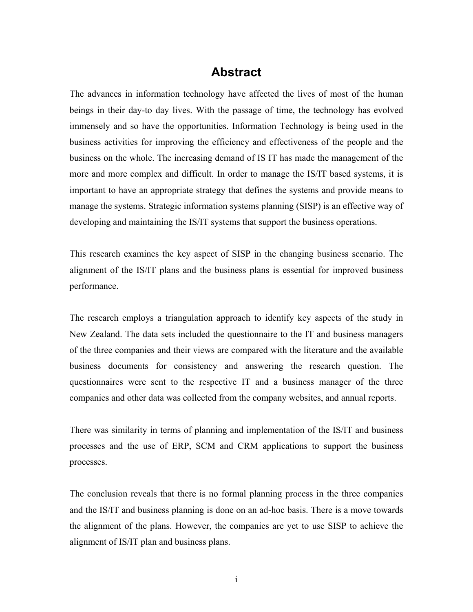# **Abstract**

The advances in information technology have affected the lives of most of the human beings in their day-to day lives. With the passage of time, the technology has evolved immensely and so have the opportunities. Information Technology is being used in the business activities for improving the efficiency and effectiveness of the people and the business on the whole. The increasing demand of IS IT has made the management of the more and more complex and difficult. In order to manage the IS/IT based systems, it is important to have an appropriate strategy that defines the systems and provide means to manage the systems. Strategic information systems planning (SISP) is an effective way of developing and maintaining the IS/IT systems that support the business operations.

This research examines the key aspect of SISP in the changing business scenario. The alignment of the IS/IT plans and the business plans is essential for improved business performance.

The research employs a triangulation approach to identify key aspects of the study in New Zealand. The data sets included the questionnaire to the IT and business managers of the three companies and their views are compared with the literature and the available business documents for consistency and answering the research question. The questionnaires were sent to the respective IT and a business manager of the three companies and other data was collected from the company websites, and annual reports.

There was similarity in terms of planning and implementation of the IS/IT and business processes and the use of ERP, SCM and CRM applications to support the business processes.

The conclusion reveals that there is no formal planning process in the three companies and the IS/IT and business planning is done on an ad-hoc basis. There is a move towards the alignment of the plans. However, the companies are yet to use SISP to achieve the alignment of IS/IT plan and business plans.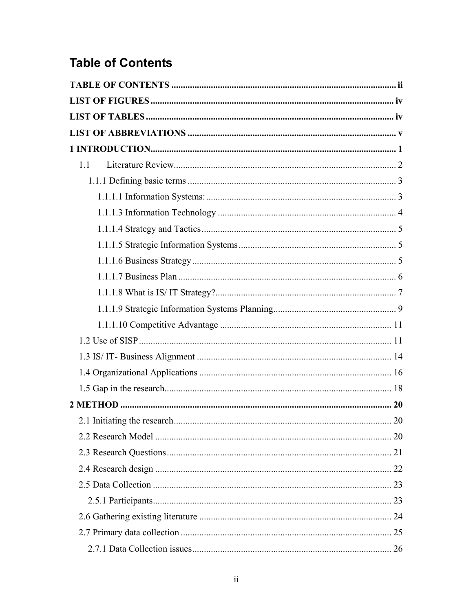# <span id="page-1-0"></span>**Table of Contents**

| 1.1 |  |
|-----|--|
|     |  |
|     |  |
|     |  |
|     |  |
|     |  |
|     |  |
|     |  |
|     |  |
|     |  |
|     |  |
|     |  |
|     |  |
|     |  |
|     |  |
|     |  |
|     |  |
|     |  |
|     |  |
|     |  |
|     |  |
|     |  |
|     |  |
|     |  |
|     |  |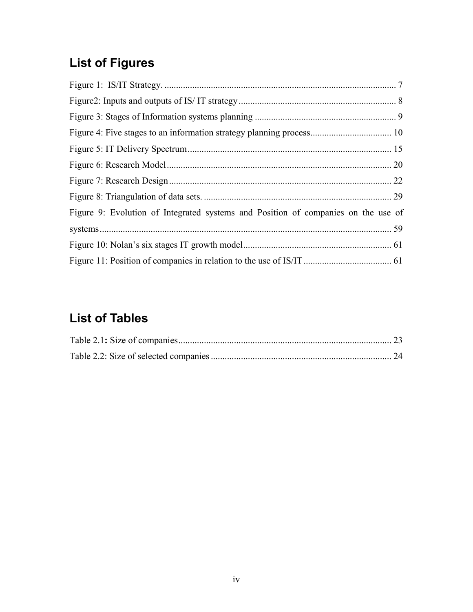# <span id="page-3-0"></span>**List of Figures**

| Figure 9: Evolution of Integrated systems and Position of companies on the use of |  |
|-----------------------------------------------------------------------------------|--|
|                                                                                   |  |
|                                                                                   |  |
|                                                                                   |  |

# **List of Tables**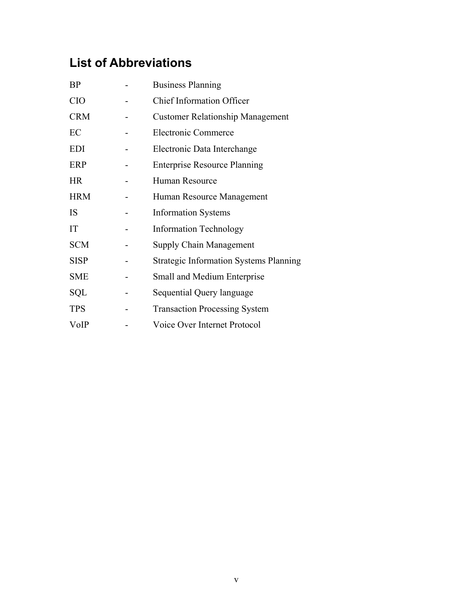# <span id="page-4-0"></span>**List of Abbreviations**

| <b>BP</b>   | <b>Business Planning</b>                      |  |
|-------------|-----------------------------------------------|--|
| <b>CIO</b>  | <b>Chief Information Officer</b>              |  |
| <b>CRM</b>  | <b>Customer Relationship Management</b>       |  |
| EC          | <b>Electronic Commerce</b>                    |  |
| <b>EDI</b>  | Electronic Data Interchange                   |  |
| ERP         | <b>Enterprise Resource Planning</b>           |  |
| <b>HR</b>   | Human Resource                                |  |
| <b>HRM</b>  | Human Resource Management                     |  |
| <b>IS</b>   | <b>Information Systems</b>                    |  |
| IT          | <b>Information Technology</b>                 |  |
| <b>SCM</b>  | <b>Supply Chain Management</b>                |  |
| <b>SISP</b> | <b>Strategic Information Systems Planning</b> |  |
| <b>SME</b>  | Small and Medium Enterprise                   |  |
| SQL         | Sequential Query language                     |  |
| <b>TPS</b>  | <b>Transaction Processing System</b>          |  |
| VoIP        | Voice Over Internet Protocol                  |  |
|             |                                               |  |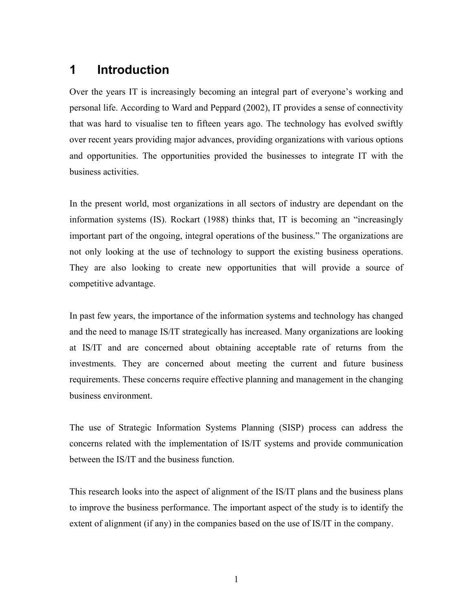# <span id="page-5-0"></span>**1 Introduction**

Over the years IT is increasingly becoming an integral part of everyone's working and personal life. According to Ward and Peppard (2002), IT provides a sense of connectivity that was hard to visualise ten to fifteen years ago. The technology has evolved swiftly over recent years providing major advances, providing organizations with various options and opportunities. The opportunities provided the businesses to integrate IT with the business activities.

In the present world, most organizations in all sectors of industry are dependant on the information systems (IS). Rockart (1988) thinks that, IT is becoming an "increasingly important part of the ongoing, integral operations of the business." The organizations are not only looking at the use of technology to support the existing business operations. They are also looking to create new opportunities that will provide a source of competitive advantage.

In past few years, the importance of the information systems and technology has changed and the need to manage IS/IT strategically has increased. Many organizations are looking at IS/IT and are concerned about obtaining acceptable rate of returns from the investments. They are concerned about meeting the current and future business requirements. These concerns require effective planning and management in the changing business environment.

The use of Strategic Information Systems Planning (SISP) process can address the concerns related with the implementation of IS/IT systems and provide communication between the IS/IT and the business function.

This research looks into the aspect of alignment of the IS/IT plans and the business plans to improve the business performance. The important aspect of the study is to identify the extent of alignment (if any) in the companies based on the use of IS/IT in the company.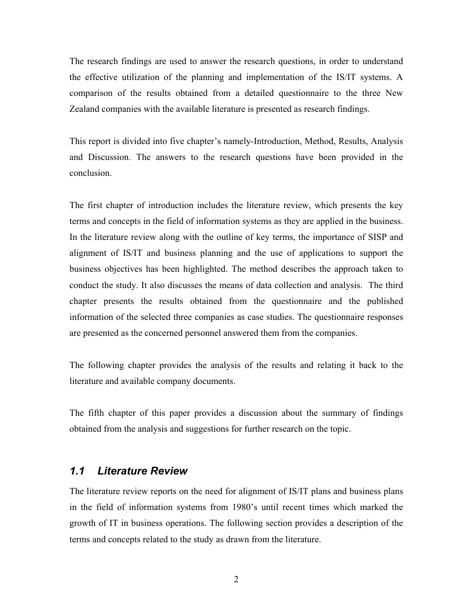<span id="page-6-0"></span>The research findings are used to answer the research questions, in order to understand the effective utilization of the planning and implementation of the IS/IT systems. A comparison of the results obtained from a detailed questionnaire to the three New Zealand companies with the available literature is presented as research findings.

This report is divided into five chapter's namely-Introduction, Method, Results, Analysis and Discussion. The answers to the research questions have been provided in the conclusion.

The first chapter of introduction includes the literature review, which presents the key terms and concepts in the field of information systems as they are applied in the business. In the literature review along with the outline of key terms, the importance of SISP and alignment of IS/IT and business planning and the use of applications to support the business objectives has been highlighted. The method describes the approach taken to conduct the study. It also discusses the means of data collection and analysis. The third chapter presents the results obtained from the questionnaire and the published information of the selected three companies as case studies. The questionnaire responses are presented as the concerned personnel answered them from the companies.

The following chapter provides the analysis of the results and relating it back to the literature and available company documents.

The fifth chapter of this paper provides a discussion about the summary of findings obtained from the analysis and suggestions for further research on the topic.

## *1.1 Literature Review*

The literature review reports on the need for alignment of IS/IT plans and business plans in the field of information systems from 1980's until recent times which marked the growth of IT in business operations. The following section provides a description of the terms and concepts related to the study as drawn from the literature.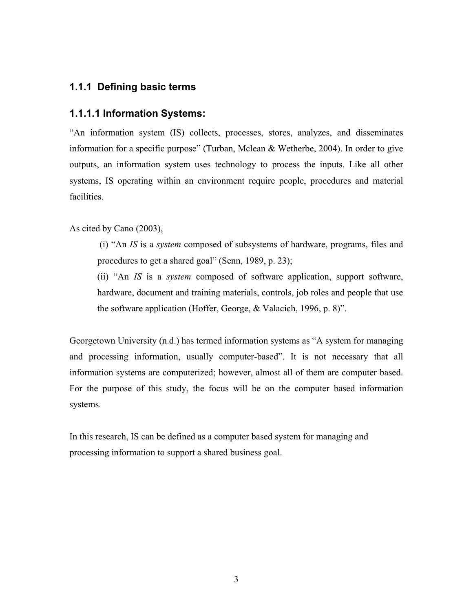# <span id="page-7-0"></span>**1.1.1 Defining basic terms**

### **1.1.1.1 Information Systems:**

"An information system (IS) collects, processes, stores, analyzes, and disseminates information for a specific purpose" (Turban, Mclean & Wetherbe, 2004). In order to give outputs, an information system uses technology to process the inputs. Like all other systems, IS operating within an environment require people, procedures and material facilities.

As cited by Cano (2003),

 (i) "An *IS* is a *system* composed of subsystems of hardware, programs, files and procedures to get a shared goal" (Senn, 1989, p. 23);

(ii) "An *IS* is a *system* composed of software application, support software, hardware, document and training materials, controls, job roles and people that use the software application (Hoffer, George, & Valacich, 1996, p. 8)".

Georgetown University (n.d.) has termed information systems as "A system for managing and processing information, usually computer-based". It is not necessary that all information systems are computerized; however, almost all of them are computer based. For the purpose of this study, the focus will be on the computer based information systems.

In this research, IS can be defined as a computer based system for managing and processing information to support a shared business goal.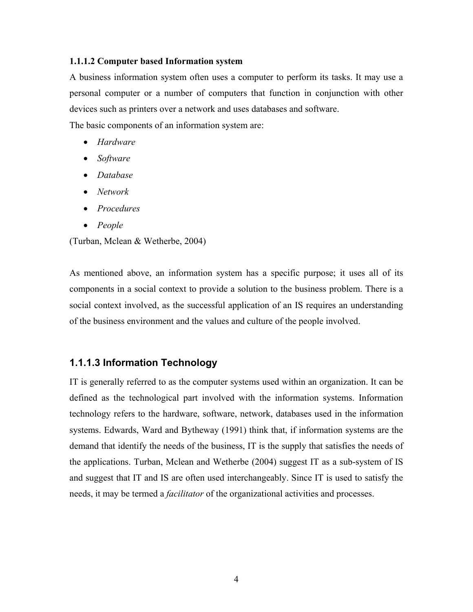#### <span id="page-8-0"></span>**1.1.1.2 Computer based Information system**

A business information system often uses a computer to perform its tasks. It may use a personal computer or a number of computers that function in conjunction with other devices such as printers over a network and uses databases and software.

The basic components of an information system are:

- *Hardware*
- *Software*
- *Database*
- *Network*
- *Procedures*
- *People*

(Turban, Mclean & Wetherbe, 2004)

As mentioned above, an information system has a specific purpose; it uses all of its components in a social context to provide a solution to the business problem. There is a social context involved, as the successful application of an IS requires an understanding of the business environment and the values and culture of the people involved.

### **1.1.1.3 Information Technology**

IT is generally referred to as the computer systems used within an organization. It can be defined as the technological part involved with the information systems. Information technology refers to the hardware, software, network, databases used in the information systems. Edwards, Ward and Bytheway (1991) think that, if information systems are the demand that identify the needs of the business, IT is the supply that satisfies the needs of the applications. Turban, Mclean and Wetherbe (2004) suggest IT as a sub-system of IS and suggest that IT and IS are often used interchangeably. Since IT is used to satisfy the needs, it may be termed a *facilitator* of the organizational activities and processes.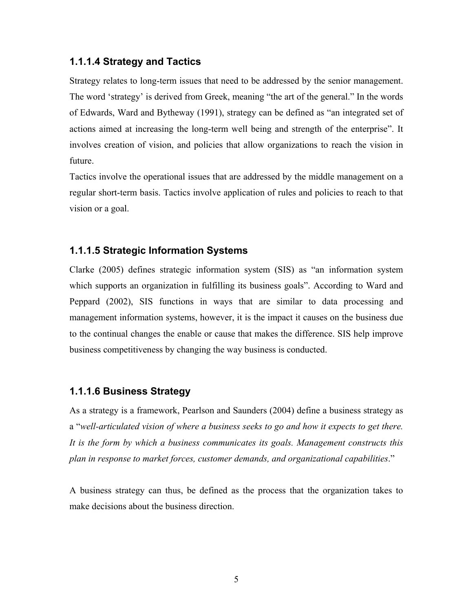# <span id="page-9-0"></span>**1.1.1.4 Strategy and Tactics**

Strategy relates to long-term issues that need to be addressed by the senior management. The word 'strategy' is derived from Greek, meaning "the art of the general." In the words of Edwards, Ward and Bytheway (1991), strategy can be defined as "an integrated set of actions aimed at increasing the long-term well being and strength of the enterprise". It involves creation of vision, and policies that allow organizations to reach the vision in future.

Tactics involve the operational issues that are addressed by the middle management on a regular short-term basis. Tactics involve application of rules and policies to reach to that vision or a goal.

### **1.1.1.5 Strategic Information Systems**

Clarke (2005) defines strategic information system (SIS) as "an information system which supports an organization in fulfilling its business goals". According to Ward and Peppard (2002), SIS functions in ways that are similar to data processing and management information systems, however, it is the impact it causes on the business due to the continual changes the enable or cause that makes the difference. SIS help improve business competitiveness by changing the way business is conducted.

### **1.1.1.6 Business Strategy**

As a strategy is a framework, Pearlson and Saunders (2004) define a business strategy as a "*well-articulated vision of where a business seeks to go and how it expects to get there. It is the form by which a business communicates its goals. Management constructs this plan in response to market forces, customer demands, and organizational capabilities*."

A business strategy can thus, be defined as the process that the organization takes to make decisions about the business direction.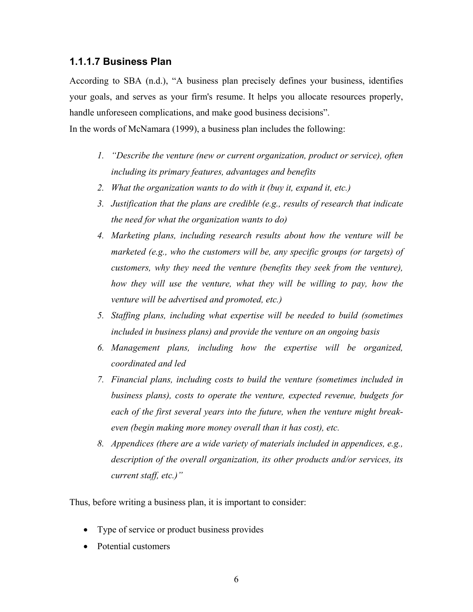### <span id="page-10-0"></span>**1.1.1.7 Business Plan**

According to SBA (n.d.), "A business plan precisely defines your business, identifies your goals, and serves as your firm's resume. It helps you allocate resources properly, handle unforeseen complications, and make good business decisions".

In the words of McNamara (1999), a business plan includes the following:

- *1. "Describe the venture (new or current organization, product or service), often including its primary features, advantages and benefits*
- *2. What the organization wants to do with it (buy it, expand it, etc.)*
- *3. Justification that the plans are credible (e.g., results of research that indicate the need for what the organization wants to do)*
- *4. Marketing plans, including research results about how the venture will be marketed (e.g., who the customers will be, any specific groups (or targets) of customers, why they need the venture (benefits they seek from the venture), how they will use the venture, what they will be willing to pay, how the venture will be advertised and promoted, etc.)*
- *5. Staffing plans, including what expertise will be needed to build (sometimes included in business plans) and provide the venture on an ongoing basis*
- *6. Management plans, including how the expertise will be organized, coordinated and led*
- *7. Financial plans, including costs to build the venture (sometimes included in business plans), costs to operate the venture, expected revenue, budgets for each of the first several years into the future, when the venture might breakeven (begin making more money overall than it has cost), etc.*
- *8. Appendices (there are a wide variety of materials included in appendices, e.g., description of the overall organization, its other products and/or services, its current staff, etc.)"*

Thus, before writing a business plan, it is important to consider:

- Type of service or product business provides
- Potential customers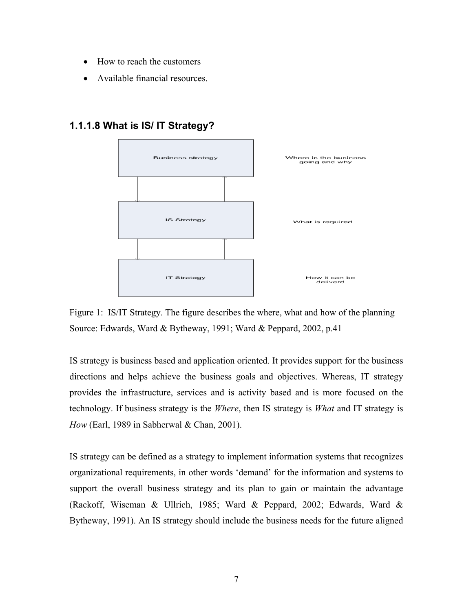- <span id="page-11-0"></span>• How to reach the customers
- Available financial resources.



### **1.1.1.8 What is IS/ IT Strategy?**

Figure 1: IS/IT Strategy. The figure describes the where, what and how of the planning Source: Edwards, Ward & Bytheway, 1991; Ward & Peppard, 2002, p.41

IS strategy is business based and application oriented. It provides support for the business directions and helps achieve the business goals and objectives. Whereas, IT strategy provides the infrastructure, services and is activity based and is more focused on the technology. If business strategy is the *Where*, then IS strategy is *What* and IT strategy is *How* (Earl, 1989 in Sabherwal & Chan, 2001).

IS strategy can be defined as a strategy to implement information systems that recognizes organizational requirements, in other words 'demand' for the information and systems to support the overall business strategy and its plan to gain or maintain the advantage (Rackoff, Wiseman & Ullrich, 1985; Ward & Peppard, 2002; Edwards, Ward & Bytheway, 1991). An IS strategy should include the business needs for the future aligned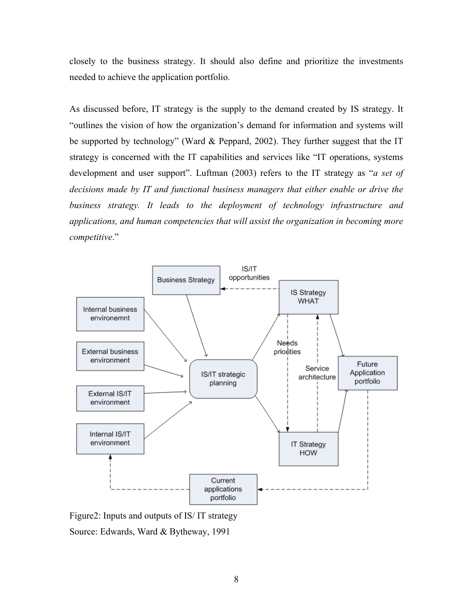<span id="page-12-0"></span>closely to the business strategy. It should also define and prioritize the investments needed to achieve the application portfolio.

As discussed before, IT strategy is the supply to the demand created by IS strategy. It "outlines the vision of how the organization's demand for information and systems will be supported by technology" (Ward & Peppard, 2002). They further suggest that the IT strategy is concerned with the IT capabilities and services like "IT operations, systems development and user support". Luftman (2003) refers to the IT strategy as "*a set of decisions made by IT and functional business managers that either enable or drive the business strategy. It leads to the deployment of technology infrastructure and applications, and human competencies that will assist the organization in becoming more competitive*."



Figure2: Inputs and outputs of IS/ IT strategy

Source: Edwards, Ward & Bytheway, 1991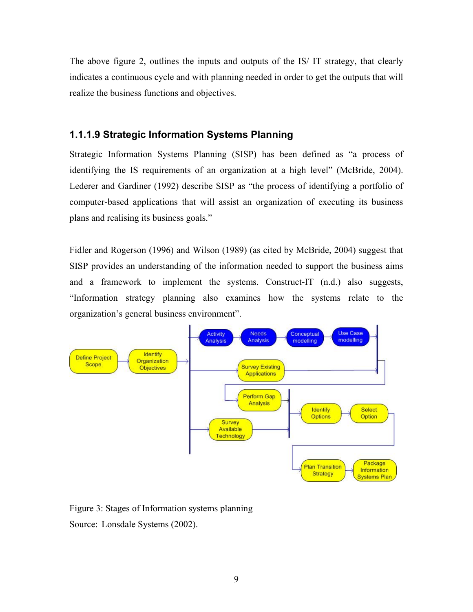<span id="page-13-0"></span>The above figure 2, outlines the inputs and outputs of the IS/ IT strategy, that clearly indicates a continuous cycle and with planning needed in order to get the outputs that will realize the business functions and objectives.

### **1.1.1.9 Strategic Information Systems Planning**

Strategic Information Systems Planning (SISP) has been defined as "a process of identifying the IS requirements of an organization at a high level" (McBride, 2004). Lederer and Gardiner (1992) describe SISP as "the process of identifying a portfolio of computer-based applications that will assist an organization of executing its business plans and realising its business goals."

Fidler and Rogerson (1996) and Wilson (1989) (as cited by McBride, 2004) suggest that SISP provides an understanding of the information needed to support the business aims and a framework to implement the systems. Construct-IT (n.d.) also suggests, "Information strategy planning also examines how the systems relate to the organization's general business environment".



Figure 3: Stages of Information systems planning Source: Lonsdale Systems (2002).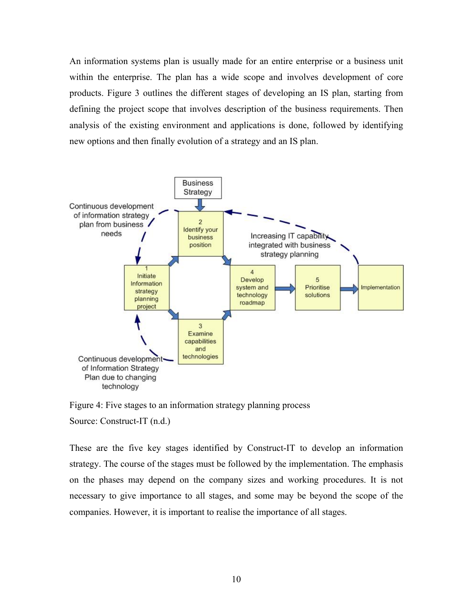<span id="page-14-0"></span>An information systems plan is usually made for an entire enterprise or a business unit within the enterprise. The plan has a wide scope and involves development of core products. Figure 3 outlines the different stages of developing an IS plan, starting from defining the project scope that involves description of the business requirements. Then analysis of the existing environment and applications is done, followed by identifying new options and then finally evolution of a strategy and an IS plan.



Figure 4: Five stages to an information strategy planning process Source: Construct-IT (n.d.)

These are the five key stages identified by Construct-IT to develop an information strategy. The course of the stages must be followed by the implementation. The emphasis on the phases may depend on the company sizes and working procedures. It is not necessary to give importance to all stages, and some may be beyond the scope of the companies. However, it is important to realise the importance of all stages.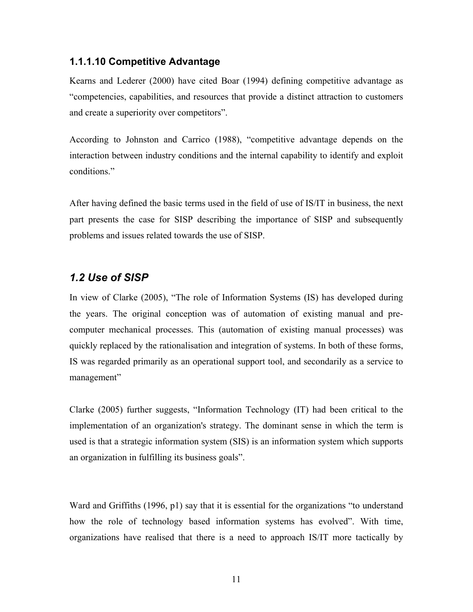### <span id="page-15-0"></span>**1.1.1.10 Competitive Advantage**

Kearns and Lederer (2000) have cited Boar (1994) defining competitive advantage as "competencies, capabilities, and resources that provide a distinct attraction to customers and create a superiority over competitors".

According to Johnston and Carrico (1988), "competitive advantage depends on the interaction between industry conditions and the internal capability to identify and exploit conditions."

After having defined the basic terms used in the field of use of IS/IT in business, the next part presents the case for SISP describing the importance of SISP and subsequently problems and issues related towards the use of SISP.

## *1.2 Use of SISP*

In view of Clarke (2005), "The role of Information Systems (IS) has developed during the years. The original conception was of automation of existing manual and precomputer mechanical processes. This (automation of existing manual processes) was quickly replaced by the rationalisation and integration of systems. In both of these forms, IS was regarded primarily as an operational support tool, and secondarily as a service to management"

Clarke (2005) further suggests, "Information Technology (IT) had been critical to the implementation of an organization's strategy. The dominant sense in which the term is used is that a strategic information system (SIS) is an information system which supports an organization in fulfilling its business goals".

Ward and Griffiths (1996, p1) say that it is essential for the organizations "to understand how the role of technology based information systems has evolved". With time, organizations have realised that there is a need to approach IS/IT more tactically by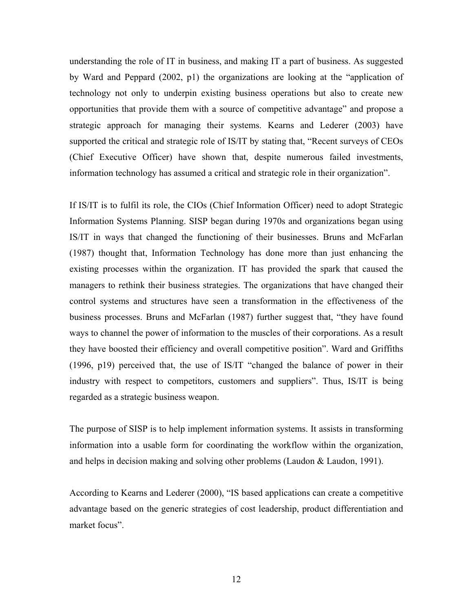understanding the role of IT in business, and making IT a part of business. As suggested by Ward and Peppard (2002, p1) the organizations are looking at the "application of technology not only to underpin existing business operations but also to create new opportunities that provide them with a source of competitive advantage" and propose a strategic approach for managing their systems. Kearns and Lederer (2003) have supported the critical and strategic role of IS/IT by stating that, "Recent surveys of CEOs (Chief Executive Officer) have shown that, despite numerous failed investments, information technology has assumed a critical and strategic role in their organization".

If IS/IT is to fulfil its role, the CIOs (Chief Information Officer) need to adopt Strategic Information Systems Planning. SISP began during 1970s and organizations began using IS/IT in ways that changed the functioning of their businesses. Bruns and McFarlan (1987) thought that, Information Technology has done more than just enhancing the existing processes within the organization. IT has provided the spark that caused the managers to rethink their business strategies. The organizations that have changed their control systems and structures have seen a transformation in the effectiveness of the business processes. Bruns and McFarlan (1987) further suggest that, "they have found ways to channel the power of information to the muscles of their corporations. As a result they have boosted their efficiency and overall competitive position". Ward and Griffiths (1996, p19) perceived that, the use of IS/IT "changed the balance of power in their industry with respect to competitors, customers and suppliers". Thus, IS/IT is being regarded as a strategic business weapon.

The purpose of SISP is to help implement information systems. It assists in transforming information into a usable form for coordinating the workflow within the organization, and helps in decision making and solving other problems (Laudon & Laudon, 1991).

According to Kearns and Lederer (2000), "IS based applications can create a competitive advantage based on the generic strategies of cost leadership, product differentiation and market focus".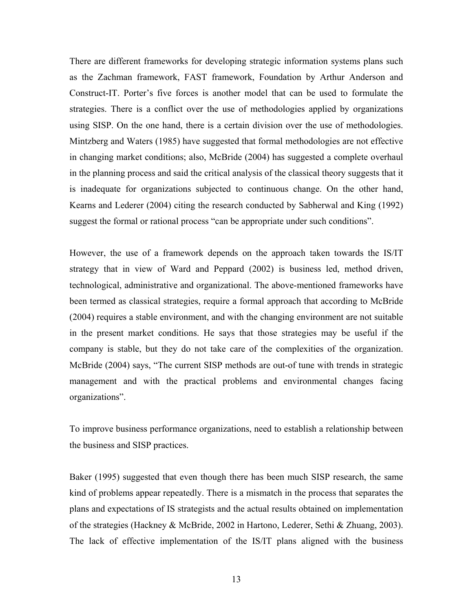There are different frameworks for developing strategic information systems plans such as the Zachman framework, FAST framework, Foundation by Arthur Anderson and Construct-IT. Porter's five forces is another model that can be used to formulate the strategies. There is a conflict over the use of methodologies applied by organizations using SISP. On the one hand, there is a certain division over the use of methodologies. Mintzberg and Waters (1985) have suggested that formal methodologies are not effective in changing market conditions; also, McBride (2004) has suggested a complete overhaul in the planning process and said the critical analysis of the classical theory suggests that it is inadequate for organizations subjected to continuous change. On the other hand, Kearns and Lederer (2004) citing the research conducted by Sabherwal and King (1992) suggest the formal or rational process "can be appropriate under such conditions".

However, the use of a framework depends on the approach taken towards the IS/IT strategy that in view of Ward and Peppard (2002) is business led, method driven, technological, administrative and organizational. The above-mentioned frameworks have been termed as classical strategies, require a formal approach that according to McBride (2004) requires a stable environment, and with the changing environment are not suitable in the present market conditions. He says that those strategies may be useful if the company is stable, but they do not take care of the complexities of the organization. McBride (2004) says, "The current SISP methods are out-of tune with trends in strategic management and with the practical problems and environmental changes facing organizations".

To improve business performance organizations, need to establish a relationship between the business and SISP practices.

Baker (1995) suggested that even though there has been much SISP research, the same kind of problems appear repeatedly. There is a mismatch in the process that separates the plans and expectations of IS strategists and the actual results obtained on implementation of the strategies (Hackney & McBride, 2002 in Hartono, Lederer, Sethi & Zhuang, 2003). The lack of effective implementation of the IS/IT plans aligned with the business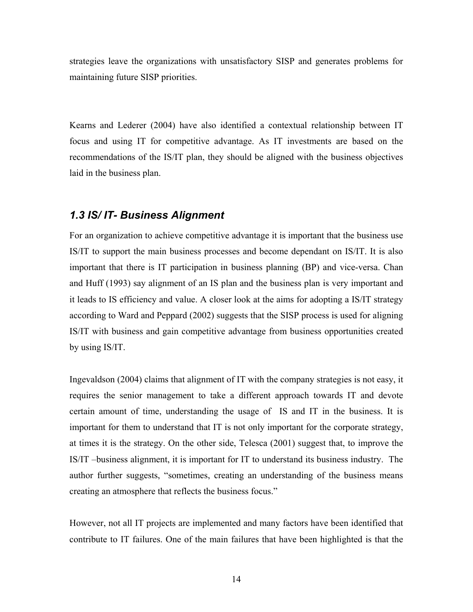<span id="page-18-0"></span>strategies leave the organizations with unsatisfactory SISP and generates problems for maintaining future SISP priorities.

Kearns and Lederer (2004) have also identified a contextual relationship between IT focus and using IT for competitive advantage. As IT investments are based on the recommendations of the IS/IT plan, they should be aligned with the business objectives laid in the business plan.

## *1.3 IS/ IT- Business Alignment*

For an organization to achieve competitive advantage it is important that the business use IS/IT to support the main business processes and become dependant on IS/IT. It is also important that there is IT participation in business planning (BP) and vice-versa. Chan and Huff (1993) say alignment of an IS plan and the business plan is very important and it leads to IS efficiency and value. A closer look at the aims for adopting a IS/IT strategy according to Ward and Peppard (2002) suggests that the SISP process is used for aligning IS/IT with business and gain competitive advantage from business opportunities created by using IS/IT.

Ingevaldson (2004) claims that alignment of IT with the company strategies is not easy, it requires the senior management to take a different approach towards IT and devote certain amount of time, understanding the usage of IS and IT in the business. It is important for them to understand that IT is not only important for the corporate strategy, at times it is the strategy. On the other side, Telesca (2001) suggest that, to improve the IS/IT –business alignment, it is important for IT to understand its business industry. The author further suggests, "sometimes, creating an understanding of the business means creating an atmosphere that reflects the business focus."

However, not all IT projects are implemented and many factors have been identified that contribute to IT failures. One of the main failures that have been highlighted is that the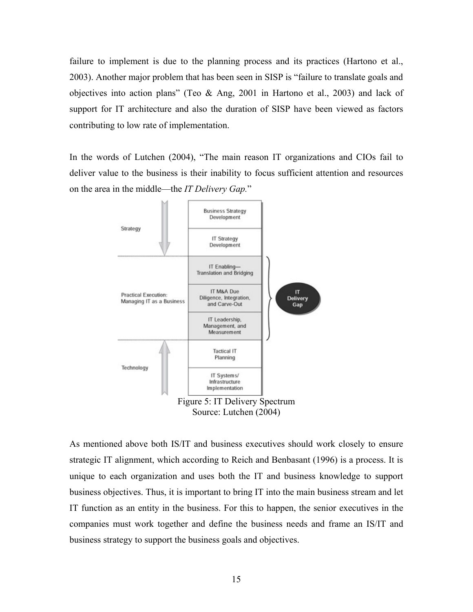<span id="page-19-0"></span>failure to implement is due to the planning process and its practices (Hartono et al., 2003). Another major problem that has been seen in SISP is "failure to translate goals and objectives into action plans" (Teo & Ang, 2001 in Hartono et al., 2003) and lack of support for IT architecture and also the duration of SISP have been viewed as factors contributing to low rate of implementation.

In the words of Lutchen (2004), "The main reason IT organizations and CIOs fail to deliver value to the business is their inability to focus sufficient attention and resources on the area in the middle—the *IT Delivery Gap.*"



As mentioned above both IS/IT and business executives should work closely to ensure strategic IT alignment, which according to Reich and Benbasant (1996) is a process. It is unique to each organization and uses both the IT and business knowledge to support business objectives. Thus, it is important to bring IT into the main business stream and let IT function as an entity in the business. For this to happen, the senior executives in the companies must work together and define the business needs and frame an IS/IT and business strategy to support the business goals and objectives.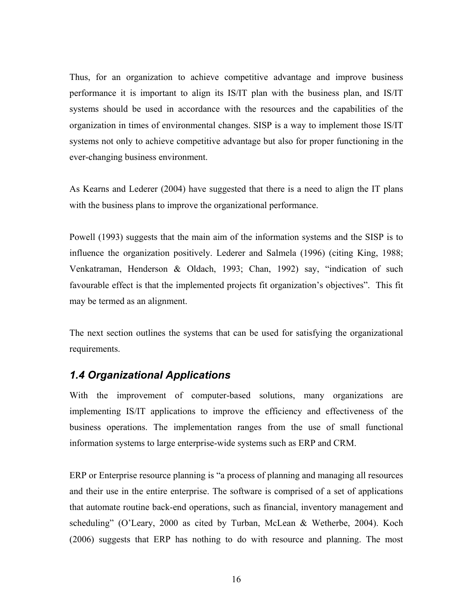<span id="page-20-0"></span>Thus, for an organization to achieve competitive advantage and improve business performance it is important to align its IS/IT plan with the business plan, and IS/IT systems should be used in accordance with the resources and the capabilities of the organization in times of environmental changes. SISP is a way to implement those IS/IT systems not only to achieve competitive advantage but also for proper functioning in the ever-changing business environment.

As Kearns and Lederer (2004) have suggested that there is a need to align the IT plans with the business plans to improve the organizational performance.

Powell (1993) suggests that the main aim of the information systems and the SISP is to influence the organization positively. Lederer and Salmela (1996) (citing King, 1988; Venkatraman, Henderson & Oldach, 1993; Chan, 1992) say, "indication of such favourable effect is that the implemented projects fit organization's objectives". This fit may be termed as an alignment.

The next section outlines the systems that can be used for satisfying the organizational requirements.

# *1.4 Organizational Applications*

With the improvement of computer-based solutions, many organizations are implementing IS/IT applications to improve the efficiency and effectiveness of the business operations. The implementation ranges from the use of small functional information systems to large enterprise-wide systems such as ERP and CRM.

ERP or Enterprise resource planning is "a process of planning and managing all resources and their use in the entire enterprise. The software is comprised of a set of applications that automate routine back-end operations, such as financial, inventory management and scheduling" (O'Leary, 2000 as cited by Turban, McLean & Wetherbe, 2004). Koch (2006) suggests that ERP has nothing to do with resource and planning. The most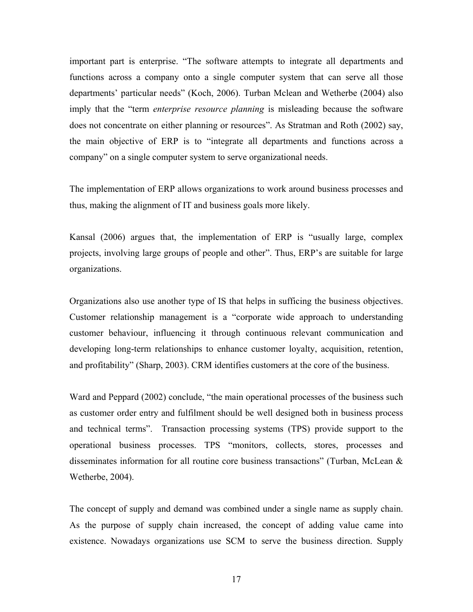important part is enterprise. "The software attempts to integrate all departments and functions across a company onto a single computer system that can serve all those departments' particular needs" (Koch, 2006). Turban Mclean and Wetherbe (2004) also imply that the "term *enterprise resource planning* is misleading because the software does not concentrate on either planning or resources". As Stratman and Roth (2002) say, the main objective of ERP is to "integrate all departments and functions across a company" on a single computer system to serve organizational needs.

The implementation of ERP allows organizations to work around business processes and thus, making the alignment of IT and business goals more likely.

Kansal (2006) argues that, the implementation of ERP is "usually large, complex projects, involving large groups of people and other". Thus, ERP's are suitable for large organizations.

Organizations also use another type of IS that helps in sufficing the business objectives. Customer relationship management is a "corporate wide approach to understanding customer behaviour, influencing it through continuous relevant communication and developing long-term relationships to enhance customer loyalty, acquisition, retention, and profitability" (Sharp, 2003). CRM identifies customers at the core of the business.

Ward and Peppard (2002) conclude, "the main operational processes of the business such as customer order entry and fulfilment should be well designed both in business process and technical terms". Transaction processing systems (TPS) provide support to the operational business processes. TPS "monitors, collects, stores, processes and disseminates information for all routine core business transactions" (Turban, McLean  $\&$ Wetherbe, 2004).

The concept of supply and demand was combined under a single name as supply chain. As the purpose of supply chain increased, the concept of adding value came into existence. Nowadays organizations use SCM to serve the business direction. Supply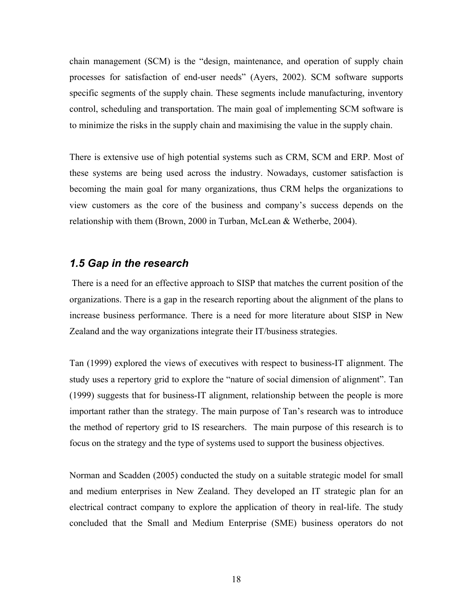<span id="page-22-0"></span>chain management (SCM) is the "design, maintenance, and operation of supply chain processes for satisfaction of end-user needs" (Ayers, 2002). SCM software supports specific segments of the supply chain. These segments include manufacturing, inventory control, scheduling and transportation. The main goal of implementing SCM software is to minimize the risks in the supply chain and maximising the value in the supply chain.

There is extensive use of high potential systems such as CRM, SCM and ERP. Most of these systems are being used across the industry. Nowadays, customer satisfaction is becoming the main goal for many organizations, thus CRM helps the organizations to view customers as the core of the business and company's success depends on the relationship with them (Brown, 2000 in Turban, McLean & Wetherbe, 2004).

### *1.5 Gap in the research*

 There is a need for an effective approach to SISP that matches the current position of the organizations. There is a gap in the research reporting about the alignment of the plans to increase business performance. There is a need for more literature about SISP in New Zealand and the way organizations integrate their IT/business strategies.

Tan (1999) explored the views of executives with respect to business-IT alignment. The study uses a repertory grid to explore the "nature of social dimension of alignment". Tan (1999) suggests that for business-IT alignment, relationship between the people is more important rather than the strategy. The main purpose of Tan's research was to introduce the method of repertory grid to IS researchers. The main purpose of this research is to focus on the strategy and the type of systems used to support the business objectives.

Norman and Scadden (2005) conducted the study on a suitable strategic model for small and medium enterprises in New Zealand. They developed an IT strategic plan for an electrical contract company to explore the application of theory in real-life. The study concluded that the Small and Medium Enterprise (SME) business operators do not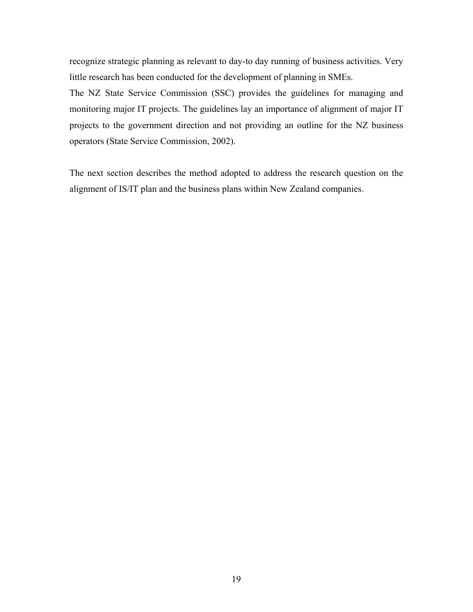recognize strategic planning as relevant to day-to day running of business activities. Very little research has been conducted for the development of planning in SMEs.

The NZ State Service Commission (SSC) provides the guidelines for managing and monitoring major IT projects. The guidelines lay an importance of alignment of major IT projects to the government direction and not providing an outline for the NZ business operators (State Service Commission, 2002).

The next section describes the method adopted to address the research question on the alignment of IS/IT plan and the business plans within New Zealand companies.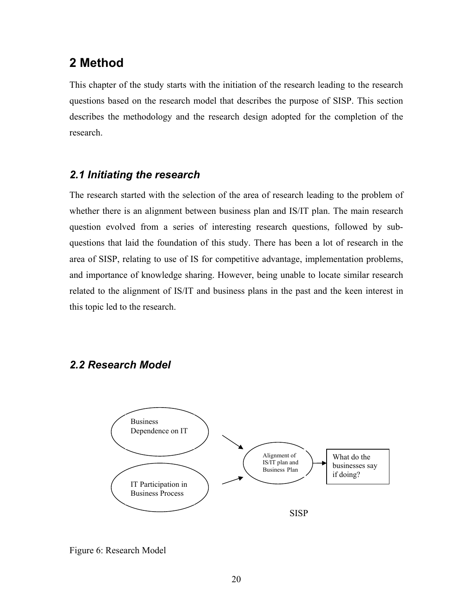# <span id="page-24-0"></span>**2 Method**

This chapter of the study starts with the initiation of the research leading to the research questions based on the research model that describes the purpose of SISP. This section describes the methodology and the research design adopted for the completion of the research.

# *2.1 Initiating the research*

The research started with the selection of the area of research leading to the problem of whether there is an alignment between business plan and IS/IT plan. The main research question evolved from a series of interesting research questions, followed by subquestions that laid the foundation of this study. There has been a lot of research in the area of SISP, relating to use of IS for competitive advantage, implementation problems, and importance of knowledge sharing. However, being unable to locate similar research related to the alignment of IS/IT and business plans in the past and the keen interest in this topic led to the research.

# *2.2 Research Model*



Figure 6: Research Model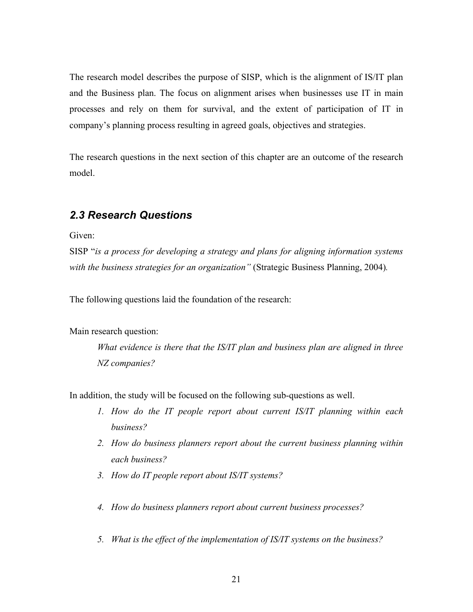<span id="page-25-0"></span>The research model describes the purpose of SISP, which is the alignment of IS/IT plan and the Business plan. The focus on alignment arises when businesses use IT in main processes and rely on them for survival, and the extent of participation of IT in company's planning process resulting in agreed goals, objectives and strategies.

The research questions in the next section of this chapter are an outcome of the research model.

# *2.3 Research Questions*

Given:

SISP "*is a process for developing a strategy and plans for aligning information systems with the business strategies for an organization"* (Strategic Business Planning, 2004)*.* 

The following questions laid the foundation of the research:

Main research question:

*What evidence is there that the IS/IT plan and business plan are aligned in three NZ companies?* 

In addition, the study will be focused on the following sub-questions as well.

- *I. How do the IT people report about current IS/IT planning within each business?*
- 2. How do business planners report about the current business planning within *each business?*
- 3. How do IT people report about IS/IT systems?
- *. How do business planners report about current business processes? 4*
- *5. What is the effect of the implementation of IS/IT systems on the business?*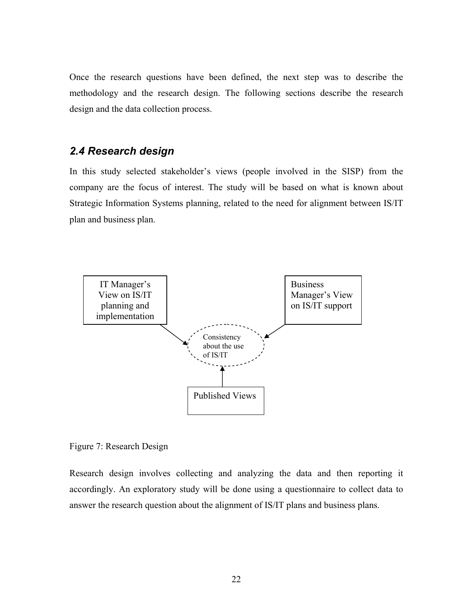<span id="page-26-0"></span>Once the research questions have been defined, the next step was to describe the methodology and the research design. The following sections describe the research design and the data collection process.

# *2.4 Research design*

In this study selected stakeholder's views (people involved in the SISP) from the company are the focus of interest. The study will be based on what is known about Strategic Information Systems planning, related to the need for alignment between IS/IT plan and business plan.



Figure 7: Research Design

Research design involves collecting and analyzing the data and then reporting it accordingly. An exploratory study will be done using a questionnaire to collect data to answer the research question about the alignment of IS/IT plans and business plans.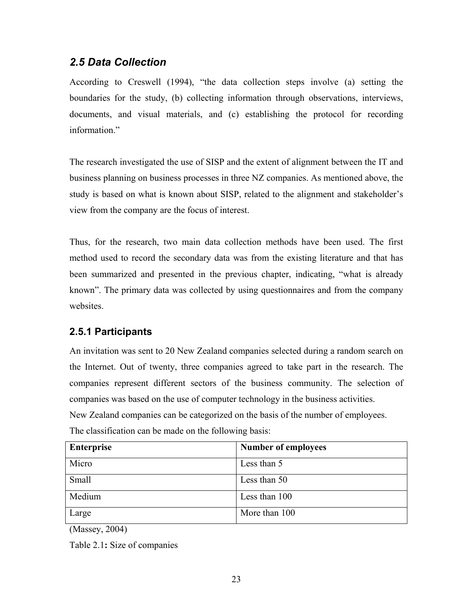# <span id="page-27-0"></span>*2.5 Data Collection*

According to Creswell (1994), "the data collection steps involve (a) setting the boundaries for the study, (b) collecting information through observations, interviews, documents, and visual materials, and (c) establishing the protocol for recording information."

The research investigated the use of SISP and the extent of alignment between the IT and business planning on business processes in three NZ companies. As mentioned above, the study is based on what is known about SISP, related to the alignment and stakeholder's view from the company are the focus of interest.

Thus, for the research, two main data collection methods have been used. The first method used to record the secondary data was from the existing literature and that has been summarized and presented in the previous chapter, indicating, "what is already known". The primary data was collected by using questionnaires and from the company websites.

# **2.5.1 Participants**

An invitation was sent to 20 New Zealand companies selected during a random search on the Internet. Out of twenty, three companies agreed to take part in the research. The companies represent different sectors of the business community. The selection of companies was based on the use of computer technology in the business activities. New Zealand companies can be categorized on the basis of the number of employees.

| <b>Enterprise</b> | <b>Number of employees</b> |
|-------------------|----------------------------|
| Micro             | Less than 5                |
| Small             | Less than 50               |
| Medium            | Less than 100              |
| Large             | More than 100              |

The classification can be made on the following basis:

(Massey, 2004)

Table 2.1**:** Size of companies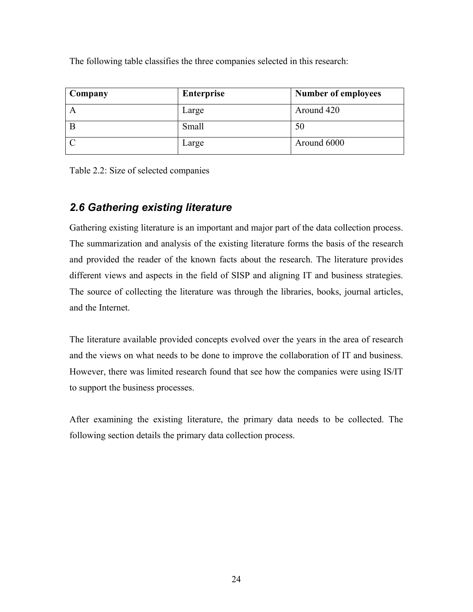<span id="page-28-0"></span>The following table classifies the three companies selected in this research:

| Company | <b>Enterprise</b> | <b>Number of employees</b> |
|---------|-------------------|----------------------------|
|         | Large             | Around 420                 |
|         | Small             | 50                         |
|         | Large             | Around 6000                |

Table 2.2: Size of selected companies

# *2.6 Gathering existing literature*

Gathering existing literature is an important and major part of the data collection process. The summarization and analysis of the existing literature forms the basis of the research and provided the reader of the known facts about the research. The literature provides different views and aspects in the field of SISP and aligning IT and business strategies. The source of collecting the literature was through the libraries, books, journal articles, and the Internet.

The literature available provided concepts evolved over the years in the area of research and the views on what needs to be done to improve the collaboration of IT and business. However, there was limited research found that see how the companies were using IS/IT to support the business processes.

After examining the existing literature, the primary data needs to be collected. The following section details the primary data collection process.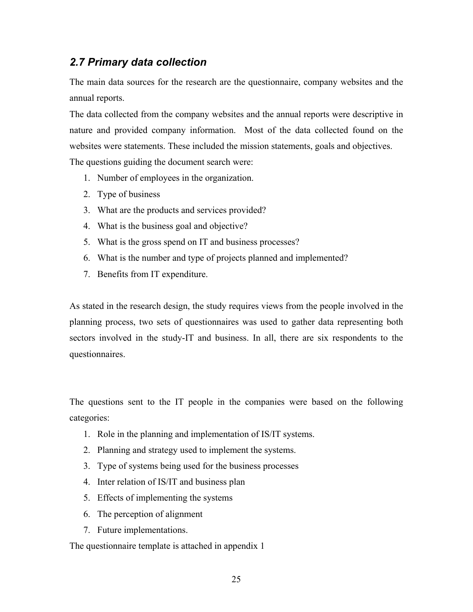# <span id="page-29-0"></span>*2.7 Primary data collection*

The main data sources for the research are the questionnaire, company websites and the annual reports.

The data collected from the company websites and the annual reports were descriptive in nature and provided company information. Most of the data collected found on the websites were statements. These included the mission statements, goals and objectives. The questions guiding the document search were:

- 1. Number of employees in the organization.
- 2. Type of business
- 3. What are the products and services provided?
- 4. What is the business goal and objective?
- 5. What is the gross spend on IT and business processes?
- 6. What is the number and type of projects planned and implemented?
- 7. Benefits from IT expenditure.

As stated in the research design, the study requires views from the people involved in the planning process, two sets of questionnaires was used to gather data representing both sectors involved in the study-IT and business. In all, there are six respondents to the questionnaires.

The questions sent to the IT people in the companies were based on the following categories:

- 1. Role in the planning and implementation of IS/IT systems.
- 2. Planning and strategy used to implement the systems.
- 3. Type of systems being used for the business processes
- 4. Inter relation of IS/IT and business plan
- 5. Effects of implementing the systems
- 6. The perception of alignment
- 7. Future implementations.

The questionnaire template is attached in appendix 1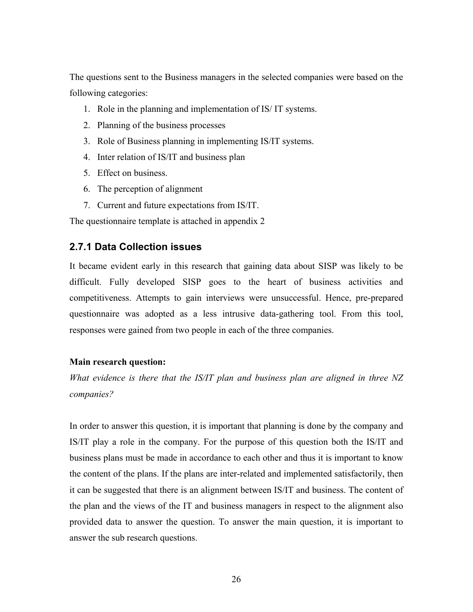<span id="page-30-0"></span>The questions sent to the Business managers in the selected companies were based on the following categories:

- 1. Role in the planning and implementation of IS/ IT systems.
- 2. Planning of the business processes
- 3. Role of Business planning in implementing IS/IT systems.
- 4. Inter relation of IS/IT and business plan
- 5. Effect on business.
- 6. The perception of alignment
- 7. Current and future expectations from IS/IT.

The questionnaire template is attached in appendix 2

### **2.7.1 Data Collection issues**

It became evident early in this research that gaining data about SISP was likely to be difficult. Fully developed SISP goes to the heart of business activities and competitiveness. Attempts to gain interviews were unsuccessful. Hence, pre-prepared questionnaire was adopted as a less intrusive data-gathering tool. From this tool, responses were gained from two people in each of the three companies.

#### **Main research question:**

*What evidence is there that the IS/IT plan and business plan are aligned in three NZ companies?* 

In order to answer this question, it is important that planning is done by the company and IS/IT play a role in the company. For the purpose of this question both the IS/IT and business plans must be made in accordance to each other and thus it is important to know the content of the plans. If the plans are inter-related and implemented satisfactorily, then it can be suggested that there is an alignment between IS/IT and business. The content of the plan and the views of the IT and business managers in respect to the alignment also provided data to answer the question. To answer the main question, it is important to answer the sub research questions.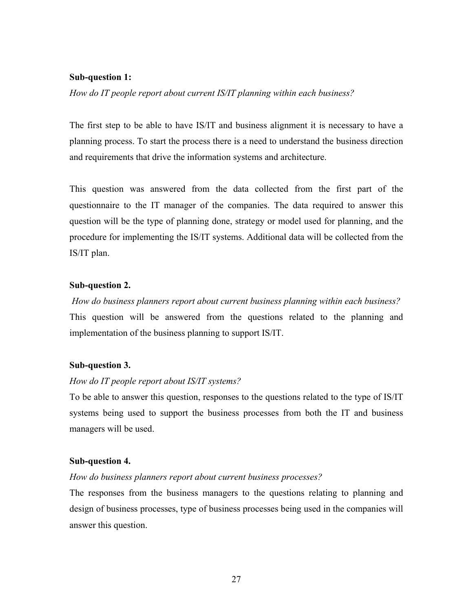#### **Sub-question 1:**

*How do IT people report about current IS/IT planning within each business?* 

The first step to be able to have IS/IT and business alignment it is necessary to have a planning process. To start the process there is a need to understand the business direction and requirements that drive the information systems and architecture.

This question was answered from the data collected from the first part of the questionnaire to the IT manager of the companies. The data required to answer this question will be the type of planning done, strategy or model used for planning, and the procedure for implementing the IS/IT systems. Additional data will be collected from the IS/IT plan.

#### **Sub-question 2.**

 *How do business planners report about current business planning within each business?* This question will be answered from the questions related to the planning and implementation of the business planning to support IS/IT.

#### **Sub-question 3.**

#### *How do IT people report about IS/IT systems?*

To be able to answer this question, responses to the questions related to the type of IS/IT systems being used to support the business processes from both the IT and business managers will be used.

### **Sub-question 4.**

### *How do business planners report about current business processes?*

The responses from the business managers to the questions relating to planning and design of business processes, type of business processes being used in the companies will answer this question.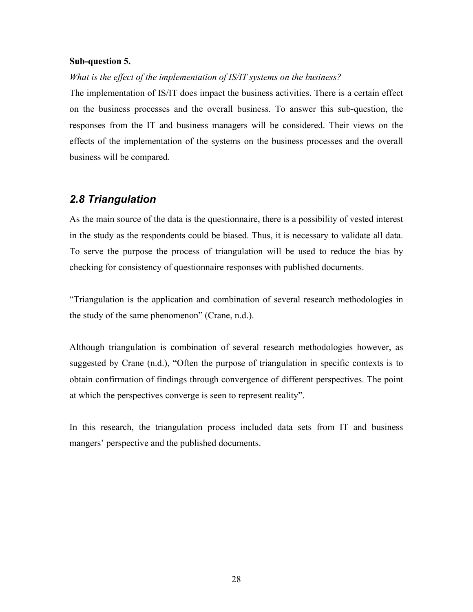#### <span id="page-32-0"></span>**Sub-question 5.**

#### *What is the effect of the implementation of IS/IT systems on the business?*

The implementation of IS/IT does impact the business activities. There is a certain effect on the business processes and the overall business. To answer this sub-question, the responses from the IT and business managers will be considered. Their views on the effects of the implementation of the systems on the business processes and the overall business will be compared.

### *2.8 Triangulation*

As the main source of the data is the questionnaire, there is a possibility of vested interest in the study as the respondents could be biased. Thus, it is necessary to validate all data. To serve the purpose the process of triangulation will be used to reduce the bias by checking for consistency of questionnaire responses with published documents.

"Triangulation is the application and combination of several research methodologies in the study of the same phenomenon" (Crane, n.d.).

Although triangulation is combination of several research methodologies however, as suggested by Crane (n.d.), "Often the purpose of triangulation in specific contexts is to obtain confirmation of findings through convergence of different perspectives. The point at which the perspectives converge is seen to represent reality".

In this research, the triangulation process included data sets from IT and business mangers' perspective and the published documents.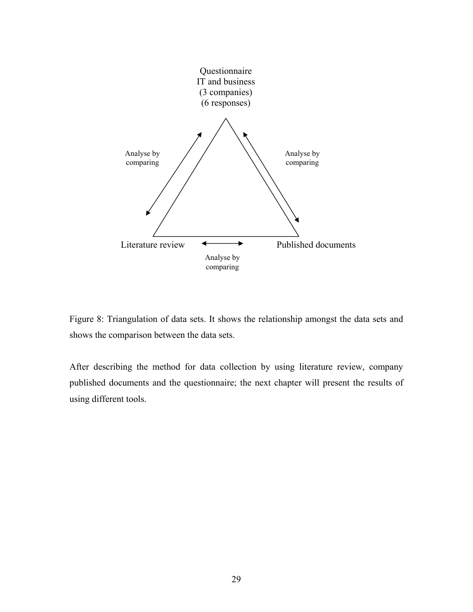<span id="page-33-0"></span>

Figure 8: Triangulation of data sets. It shows the relationship amongst the data sets and shows the comparison between the data sets.

After describing the method for data collection by using literature review, company published documents and the questionnaire; the next chapter will present the results of using different tools.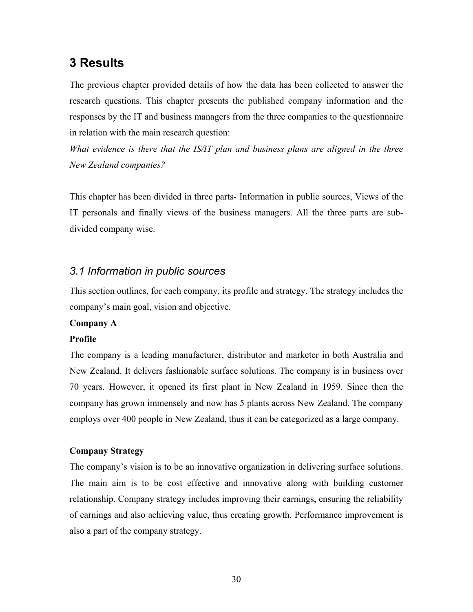# <span id="page-34-0"></span>**3 Results**

The previous chapter provided details of how the data has been collected to answer the research questions. This chapter presents the published company information and the responses by the IT and business managers from the three companies to the questionnaire in relation with the main research question:

*What evidence is there that the IS/IT plan and business plans are aligned in the three New Zealand companies?* 

This chapter has been divided in three parts- Information in public sources, Views of the IT personals and finally views of the business managers. All the three parts are subdivided company wise.

# *3.1 Information in public sources*

This section outlines, for each company, its profile and strategy. The strategy includes the company's main goal, vision and objective.

### **Company A**

### **Profile**

The company is a leading manufacturer, distributor and marketer in both Australia and New Zealand. It delivers fashionable surface solutions. The company is in business over 70 years. However, it opened its first plant in New Zealand in 1959. Since then the company has grown immensely and now has 5 plants across New Zealand. The company employs over 400 people in New Zealand, thus it can be categorized as a large company.

### **Company Strategy**

The company's vision is to be an innovative organization in delivering surface solutions. The main aim is to be cost effective and innovative along with building customer relationship. Company strategy includes improving their earnings, ensuring the reliability of earnings and also achieving value, thus creating growth. Performance improvement is also a part of the company strategy.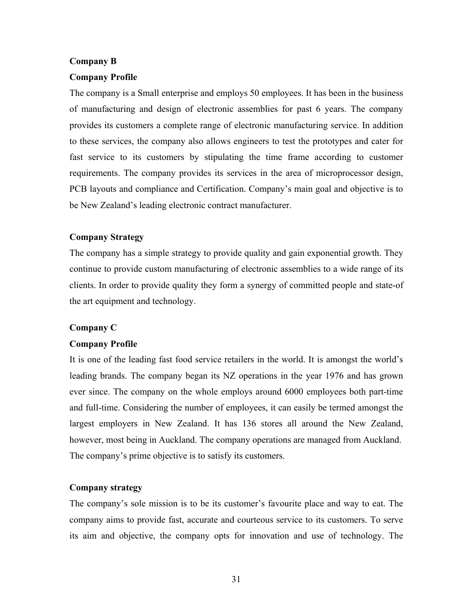### **Company B**

### **Company Profile**

The company is a Small enterprise and employs 50 employees. It has been in the business of manufacturing and design of electronic assemblies for past 6 years. The company provides its customers a complete range of electronic manufacturing service. In addition to these services, the company also allows engineers to test the prototypes and cater for fast service to its customers by stipulating the time frame according to customer requirements. The company provides its services in the area of microprocessor design, PCB layouts and compliance and Certification. Company's main goal and objective is to be New Zealand's leading electronic contract manufacturer.

### **Company Strategy**

The company has a simple strategy to provide quality and gain exponential growth. They continue to provide custom manufacturing of electronic assemblies to a wide range of its clients. In order to provide quality they form a synergy of committed people and state-of the art equipment and technology.

#### **Company C**

### **Company Profile**

It is one of the leading fast food service retailers in the world. It is amongst the world's leading brands. The company began its NZ operations in the year 1976 and has grown ever since. The company on the whole employs around 6000 employees both part-time and full-time. Considering the number of employees, it can easily be termed amongst the largest employers in New Zealand. It has 136 stores all around the New Zealand, however, most being in Auckland. The company operations are managed from Auckland. The company's prime objective is to satisfy its customers.

#### **Company strategy**

The company's sole mission is to be its customer's favourite place and way to eat. The company aims to provide fast, accurate and courteous service to its customers. To serve its aim and objective, the company opts for innovation and use of technology. The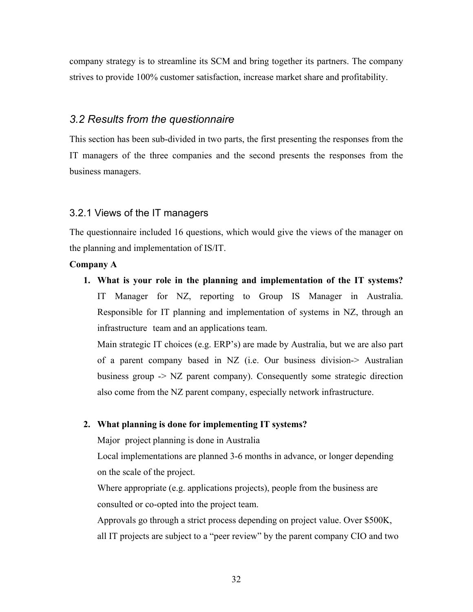company strategy is to streamline its SCM and bring together its partners. The company strives to provide 100% customer satisfaction, increase market share and profitability.

# *3.2 Results from the questionnaire*

This section has been sub-divided in two parts, the first presenting the responses from the IT managers of the three companies and the second presents the responses from the business managers.

#### 3.2.1 Views of the IT managers

The questionnaire included 16 questions, which would give the views of the manager on the planning and implementation of IS/IT.

### **Company A**

**1. What is your role in the planning and implementation of the IT systems?**  IT Manager for NZ, reporting to Group IS Manager in Australia. Responsible for IT planning and implementation of systems in NZ, through an infrastructure team and an applications team.

Main strategic IT choices (e.g. ERP's) are made by Australia, but we are also part of a parent company based in NZ (i.e. Our business division-> Australian business group -> NZ parent company). Consequently some strategic direction also come from the NZ parent company, especially network infrastructure.

#### **2. What planning is done for implementing IT systems?**

Major project planning is done in Australia

Local implementations are planned 3-6 months in advance, or longer depending on the scale of the project.

Where appropriate (e.g. applications projects), people from the business are consulted or co-opted into the project team.

Approvals go through a strict process depending on project value. Over \$500K, all IT projects are subject to a "peer review" by the parent company CIO and two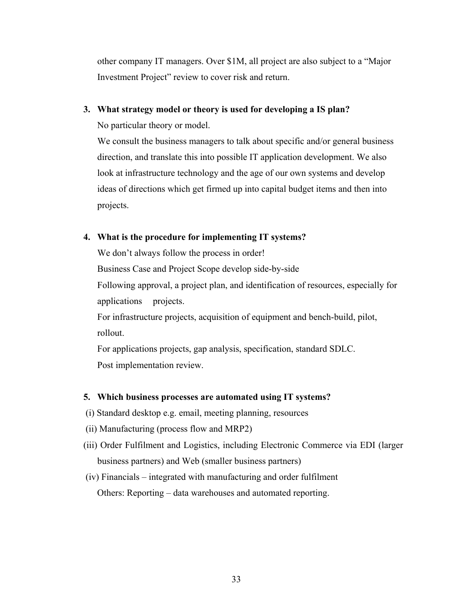other company IT managers. Over \$1M, all project are also subject to a "Major Investment Project" review to cover risk and return.

### **3. What strategy model or theory is used for developing a IS plan?**

No particular theory or model.

We consult the business managers to talk about specific and/or general business direction, and translate this into possible IT application development. We also look at infrastructure technology and the age of our own systems and develop ideas of directions which get firmed up into capital budget items and then into projects.

### **4. What is the procedure for implementing IT systems?**

We don't always follow the process in order!

Business Case and Project Scope develop side-by-side

Following approval, a project plan, and identification of resources, especially for applications projects.

For infrastructure projects, acquisition of equipment and bench-build, pilot, rollout.

For applications projects, gap analysis, specification, standard SDLC. Post implementation review.

# **5. Which business processes are automated using IT systems?**

- (i) Standard desktop e.g. email, meeting planning, resources
- (ii) Manufacturing (process flow and MRP2)
- (iii) Order Fulfilment and Logistics, including Electronic Commerce via EDI (larger business partners) and Web (smaller business partners)
- (iv) Financials integrated with manufacturing and order fulfilment Others: Reporting – data warehouses and automated reporting.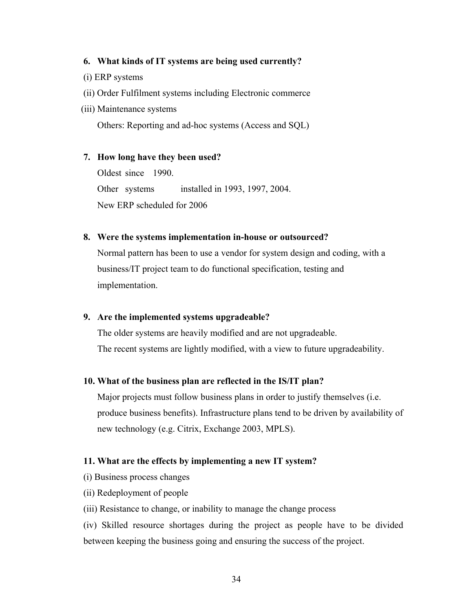#### **6. What kinds of IT systems are being used currently?**

- (i) ERP systems
- (ii) Order Fulfilment systems including Electronic commerce
- (iii) Maintenance systems

Others: Reporting and ad-hoc systems (Access and SQL)

#### **7. How long have they been used?**

Oldest since 1990. Other systems installed in 1993, 1997, 2004. New ERP scheduled for 2006

#### **8. Were the systems implementation in-house or outsourced?**

Normal pattern has been to use a vendor for system design and coding, with a business/IT project team to do functional specification, testing and implementation.

#### **9. Are the implemented systems upgradeable?**

The older systems are heavily modified and are not upgradeable. The recent systems are lightly modified, with a view to future upgradeability.

#### **10. What of the business plan are reflected in the IS/IT plan?**

Major projects must follow business plans in order to justify themselves (i.e. produce business benefits). Infrastructure plans tend to be driven by availability of new technology (e.g. Citrix, Exchange 2003, MPLS).

#### **11. What are the effects by implementing a new IT system?**

- (i) Business process changes
- (ii) Redeployment of people
- (iii) Resistance to change, or inability to manage the change process

(iv) Skilled resource shortages during the project as people have to be divided between keeping the business going and ensuring the success of the project.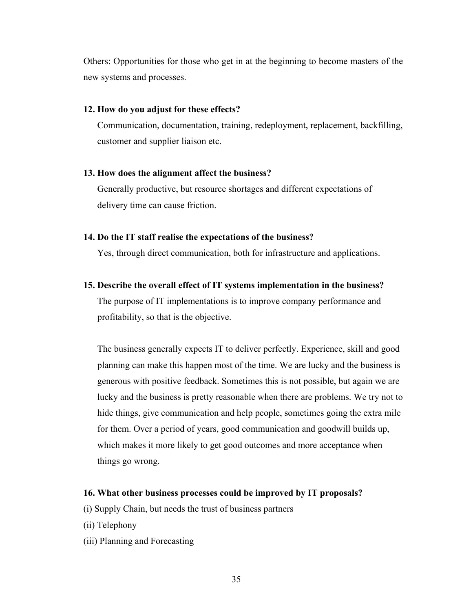Others: Opportunities for those who get in at the beginning to become masters of the new systems and processes.

#### **12. How do you adjust for these effects?**

Communication, documentation, training, redeployment, replacement, backfilling, customer and supplier liaison etc.

#### **13. How does the alignment affect the business?**

Generally productive, but resource shortages and different expectations of delivery time can cause friction.

#### **14. Do the IT staff realise the expectations of the business?**

Yes, through direct communication, both for infrastructure and applications.

#### **15. Describe the overall effect of IT systems implementation in the business?**

The purpose of IT implementations is to improve company performance and profitability, so that is the objective.

The business generally expects IT to deliver perfectly. Experience, skill and good planning can make this happen most of the time. We are lucky and the business is generous with positive feedback. Sometimes this is not possible, but again we are lucky and the business is pretty reasonable when there are problems. We try not to hide things, give communication and help people, sometimes going the extra mile for them. Over a period of years, good communication and goodwill builds up, which makes it more likely to get good outcomes and more acceptance when things go wrong.

#### **16. What other business processes could be improved by IT proposals?**

- (i) Supply Chain, but needs the trust of business partners
- (ii) Telephony
- (iii) Planning and Forecasting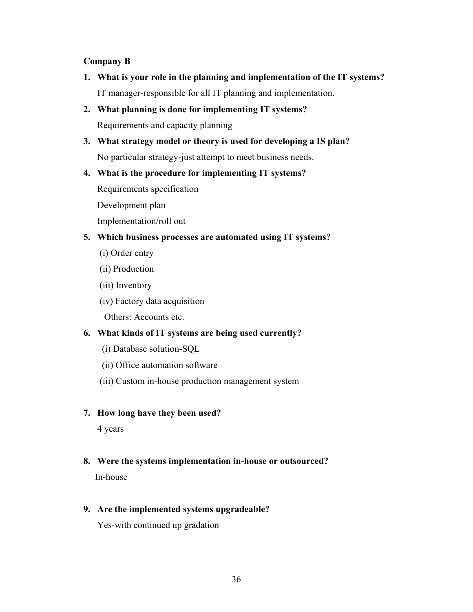# **Company B**

- **1. What is your role in the planning and implementation of the IT systems?**  IT manager-responsible for all IT planning and implementation.
- **2. What planning is done for implementing IT systems?**  Requirements and capacity planning
- **3. What strategy model or theory is used for developing a IS plan?**  No particular strategy-just attempt to meet business needs.

# **4. What is the procedure for implementing IT systems?**

Requirements specification

Development plan

Implementation/roll out

# **5. Which business processes are automated using IT systems?**

- (i) Order entry
- (ii) Production
- (iii) Inventory
- (iv) Factory data acquisition

Others: Accounts etc.

# **6. What kinds of IT systems are being used currently?**

- (i) Database solution-SQL
- (ii) Office automation software
- (iii) Custom in-house production management system

# **7. How long have they been used?**

4 years

**8. Were the systems implementation in-house or outsourced?**  In-house

# **9. Are the implemented systems upgradeable?**

Yes-with continued up gradation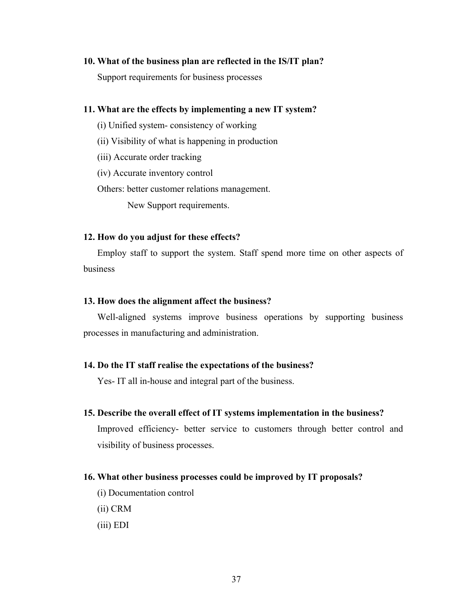#### **10. What of the business plan are reflected in the IS/IT plan?**

Support requirements for business processes

#### **11. What are the effects by implementing a new IT system?**

- (i) Unified system- consistency of working
- (ii) Visibility of what is happening in production
- (iii) Accurate order tracking
- (iv) Accurate inventory control

Others: better customer relations management.

New Support requirements.

#### **12. How do you adjust for these effects?**

Employ staff to support the system. Staff spend more time on other aspects of business

#### **13. How does the alignment affect the business?**

Well-aligned systems improve business operations by supporting business processes in manufacturing and administration.

#### **14. Do the IT staff realise the expectations of the business?**

Yes- IT all in-house and integral part of the business.

#### **15. Describe the overall effect of IT systems implementation in the business?**

Improved efficiency- better service to customers through better control and visibility of business processes.

#### **16. What other business processes could be improved by IT proposals?**

- (i) Documentation control
- (ii) CRM
- (iii) EDI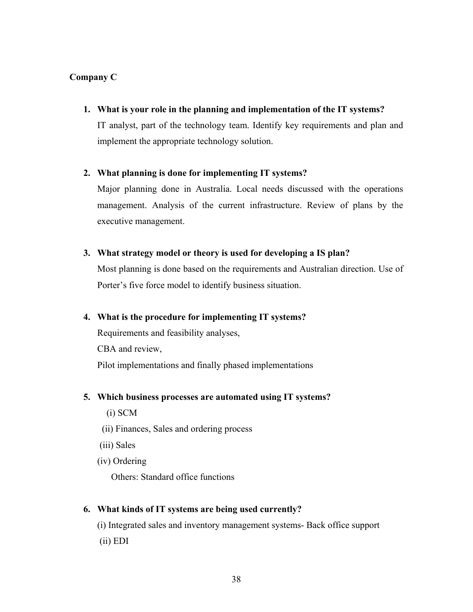# **Company C**

**1. What is your role in the planning and implementation of the IT systems?** 

IT analyst, part of the technology team. Identify key requirements and plan and implement the appropriate technology solution.

# **2. What planning is done for implementing IT systems?**

Major planning done in Australia. Local needs discussed with the operations management. Analysis of the current infrastructure. Review of plans by the executive management.

# **3. What strategy model or theory is used for developing a IS plan?**

Most planning is done based on the requirements and Australian direction. Use of Porter's five force model to identify business situation.

# **4. What is the procedure for implementing IT systems?**

Requirements and feasibility analyses, CBA and review, Pilot implementations and finally phased implementations

# **5. Which business processes are automated using IT systems?**

(i) SCM

- (ii) Finances, Sales and ordering process
- (iii) Sales
- (iv) Ordering

Others: Standard office functions

# **6. What kinds of IT systems are being used currently?**

 (i) Integrated sales and inventory management systems- Back office support (ii) EDI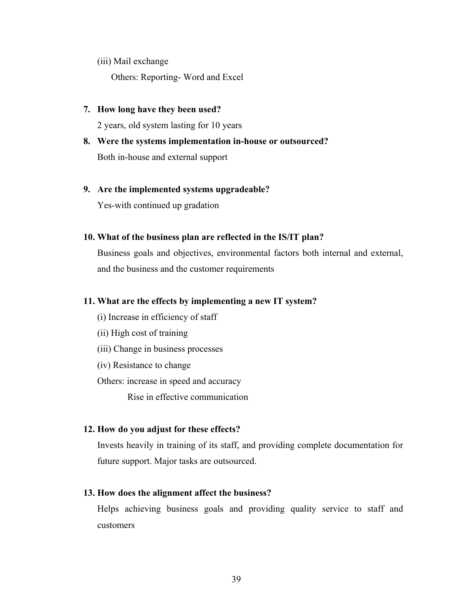(iii) Mail exchange

Others: Reporting- Word and Excel

# **7. How long have they been used?**

2 years, old system lasting for 10 years

**8. Were the systems implementation in-house or outsourced?**  Both in-house and external support

### **9. Are the implemented systems upgradeable?**

Yes-with continued up gradation

#### **10. What of the business plan are reflected in the IS/IT plan?**

Business goals and objectives, environmental factors both internal and external, and the business and the customer requirements

#### **11. What are the effects by implementing a new IT system?**

- (i) Increase in efficiency of staff
- (ii) High cost of training
- (iii) Change in business processes
- (iv) Resistance to change
- Others: increase in speed and accuracy

Rise in effective communication

# **12. How do you adjust for these effects?**

Invests heavily in training of its staff, and providing complete documentation for future support. Major tasks are outsourced.

# **13. How does the alignment affect the business?**

Helps achieving business goals and providing quality service to staff and customers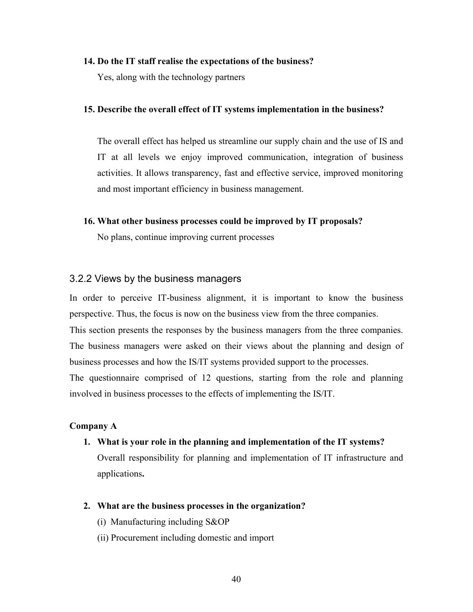#### **14. Do the IT staff realise the expectations of the business?**

Yes, along with the technology partners

#### **15. Describe the overall effect of IT systems implementation in the business?**

The overall effect has helped us streamline our supply chain and the use of IS and IT at all levels we enjoy improved communication, integration of business activities. It allows transparency, fast and effective service, improved monitoring and most important efficiency in business management.

**16. What other business processes could be improved by IT proposals?** 

No plans, continue improving current processes

#### 3.2.2 Views by the business managers

In order to perceive IT-business alignment, it is important to know the business perspective. Thus, the focus is now on the business view from the three companies. This section presents the responses by the business managers from the three companies. The business managers were asked on their views about the planning and design of business processes and how the IS/IT systems provided support to the processes. The questionnaire comprised of 12 questions, starting from the role and planning involved in business processes to the effects of implementing the IS/IT.

#### **Company A**

**1. What is your role in the planning and implementation of the IT systems?** 

Overall responsibility for planning and implementation of IT infrastructure and applications**.** 

- **2. What are the business processes in the organization?** 
	- (i) Manufacturing including S&OP
	- (ii) Procurement including domestic and import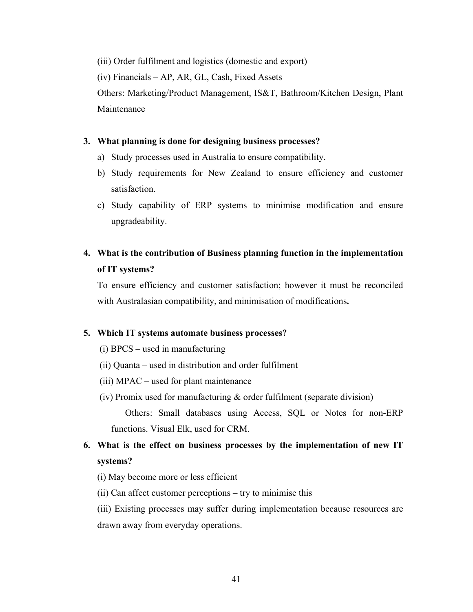(iii) Order fulfilment and logistics (domestic and export)

(iv) Financials – AP, AR, GL, Cash, Fixed Assets

Others: Marketing/Product Management, IS&T, Bathroom/Kitchen Design, Plant Maintenance

# **3. What planning is done for designing business processes?**

- a) Study processes used in Australia to ensure compatibility.
- b) Study requirements for New Zealand to ensure efficiency and customer satisfaction.
- c) Study capability of ERP systems to minimise modification and ensure upgradeability.

# **4. What is the contribution of Business planning function in the implementation of IT systems?**

To ensure efficiency and customer satisfaction; however it must be reconciled with Australasian compatibility, and minimisation of modifications**.**

#### **5. Which IT systems automate business processes?**

- (i) BPCS used in manufacturing
- (ii) Quanta used in distribution and order fulfilment
- (iii) MPAC used for plant maintenance
- (iv) Promix used for manufacturing  $\&$  order fulfilment (separate division)

 Others: Small databases using Access, SQL or Notes for non-ERP functions. Visual Elk, used for CRM.

# **6. What is the effect on business processes by the implementation of new IT systems?**

(i) May become more or less efficient

(ii) Can affect customer perceptions – try to minimise this

(iii) Existing processes may suffer during implementation because resources are drawn away from everyday operations.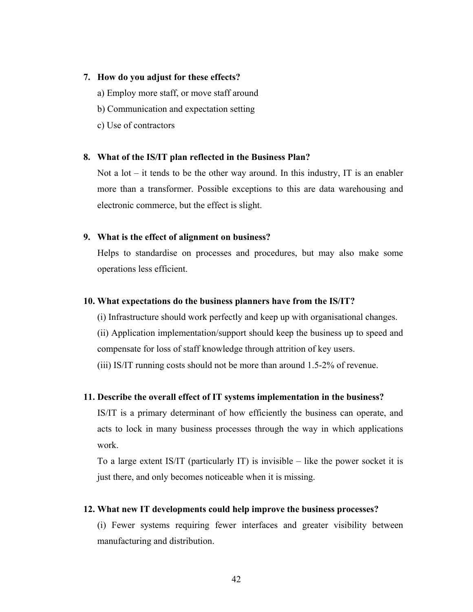#### **7. How do you adjust for these effects?**

- a) Employ more staff, or move staff around
- b) Communication and expectation setting
- c) Use of contractors

#### **8. What of the IS/IT plan reflected in the Business Plan?**

Not a lot – it tends to be the other way around. In this industry, IT is an enabler more than a transformer. Possible exceptions to this are data warehousing and electronic commerce, but the effect is slight.

#### **9. What is the effect of alignment on business?**

Helps to standardise on processes and procedures, but may also make some operations less efficient.

#### **10. What expectations do the business planners have from the IS/IT?**

(i) Infrastructure should work perfectly and keep up with organisational changes.

(ii) Application implementation/support should keep the business up to speed and compensate for loss of staff knowledge through attrition of key users.

(iii) IS/IT running costs should not be more than around 1.5-2% of revenue.

#### **11. Describe the overall effect of IT systems implementation in the business?**

IS/IT is a primary determinant of how efficiently the business can operate, and acts to lock in many business processes through the way in which applications work.

To a large extent IS/IT (particularly IT) is invisible – like the power socket it is just there, and only becomes noticeable when it is missing.

#### **12. What new IT developments could help improve the business processes?**

(i) Fewer systems requiring fewer interfaces and greater visibility between manufacturing and distribution.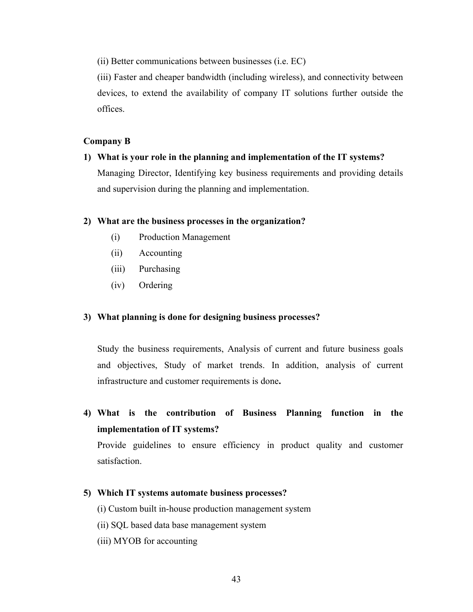(ii) Better communications between businesses (i.e. EC)

(iii) Faster and cheaper bandwidth (including wireless), and connectivity between devices, to extend the availability of company IT solutions further outside the offices.

#### **Company B**

# **1) What is your role in the planning and implementation of the IT systems?**  Managing Director, Identifying key business requirements and providing details and supervision during the planning and implementation.

#### **2) What are the business processes in the organization?**

- (i) Production Management
- (ii) Accounting
- (iii) Purchasing
- (iv) Ordering

#### **3) What planning is done for designing business processes?**

Study the business requirements, Analysis of current and future business goals and objectives, Study of market trends. In addition, analysis of current infrastructure and customer requirements is done**.** 

**4) What is the contribution of Business Planning function in the implementation of IT systems?** 

Provide guidelines to ensure efficiency in product quality and customer satisfaction.

#### **5) Which IT systems automate business processes?**

(i) Custom built in-house production management system

- (ii) SQL based data base management system
- (iii) MYOB for accounting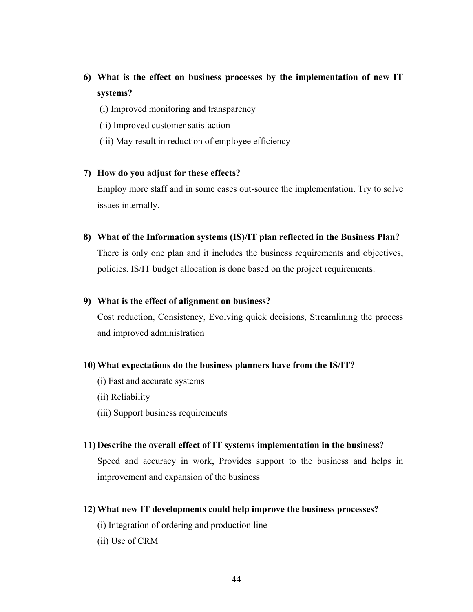# **6) What is the effect on business processes by the implementation of new IT systems?**

- (i) Improved monitoring and transparency
- (ii) Improved customer satisfaction
- (iii) May result in reduction of employee efficiency

#### **7) How do you adjust for these effects?**

Employ more staff and in some cases out-source the implementation. Try to solve issues internally.

**8) What of the Information systems (IS)/IT plan reflected in the Business Plan?** 

There is only one plan and it includes the business requirements and objectives, policies. IS/IT budget allocation is done based on the project requirements.

#### **9) What is the effect of alignment on business?**

Cost reduction, Consistency, Evolving quick decisions, Streamlining the process and improved administration

#### **10) What expectations do the business planners have from the IS/IT?**

- (i) Fast and accurate systems
- (ii) Reliability
- (iii) Support business requirements

#### **11) Describe the overall effect of IT systems implementation in the business?**

Speed and accuracy in work, Provides support to the business and helps in improvement and expansion of the business

# **12) What new IT developments could help improve the business processes?**

- (i) Integration of ordering and production line
- (ii) Use of CRM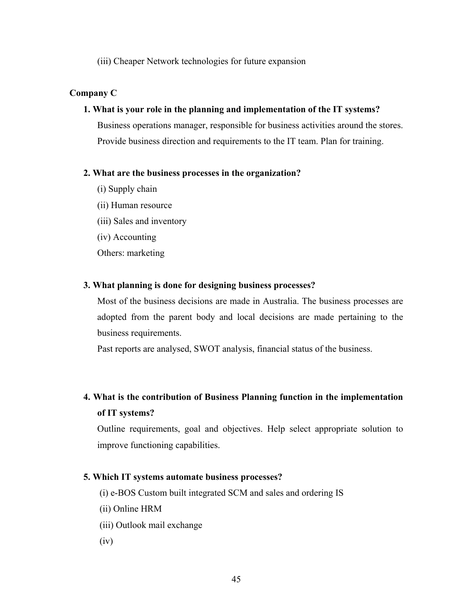(iii) Cheaper Network technologies for future expansion

# **Company C**

### **1. What is your role in the planning and implementation of the IT systems?**

Business operations manager, responsible for business activities around the stores. Provide business direction and requirements to the IT team. Plan for training.

# **2. What are the business processes in the organization?**

- (i) Supply chain
- (ii) Human resource
- (iii) Sales and inventory
- (iv) Accounting

Others: marketing

# **3. What planning is done for designing business processes?**

Most of the business decisions are made in Australia. The business processes are adopted from the parent body and local decisions are made pertaining to the business requirements.

Past reports are analysed, SWOT analysis, financial status of the business.

# **4. What is the contribution of Business Planning function in the implementation of IT systems?**

Outline requirements, goal and objectives. Help select appropriate solution to improve functioning capabilities.

# **5. Which IT systems automate business processes?**

- (i) e-BOS Custom built integrated SCM and sales and ordering IS
- (ii) Online HRM
- (iii) Outlook mail exchange
- (iv)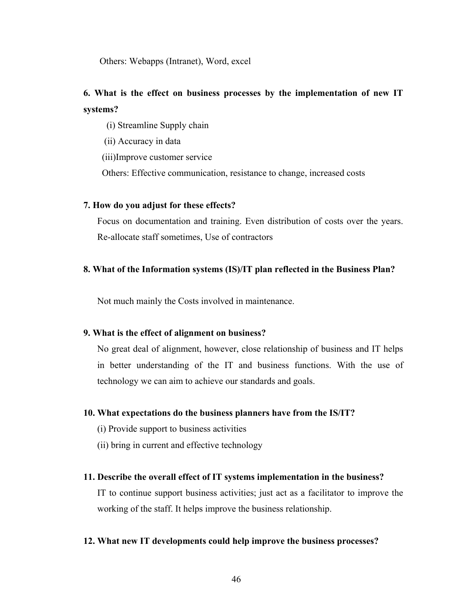Others: Webapps (Intranet), Word, excel

# **6. What is the effect on business processes by the implementation of new IT systems?**

(i) Streamline Supply chain

(ii) Accuracy in data

(iii)Improve customer service

Others: Effective communication, resistance to change, increased costs

#### **7. How do you adjust for these effects?**

Focus on documentation and training. Even distribution of costs over the years. Re-allocate staff sometimes, Use of contractors

#### **8. What of the Information systems (IS)/IT plan reflected in the Business Plan?**

Not much mainly the Costs involved in maintenance.

#### **9. What is the effect of alignment on business?**

No great deal of alignment, however, close relationship of business and IT helps in better understanding of the IT and business functions. With the use of technology we can aim to achieve our standards and goals.

#### **10. What expectations do the business planners have from the IS/IT?**

(i) Provide support to business activities

(ii) bring in current and effective technology

#### **11. Describe the overall effect of IT systems implementation in the business?**

IT to continue support business activities; just act as a facilitator to improve the working of the staff. It helps improve the business relationship.

#### **12. What new IT developments could help improve the business processes?**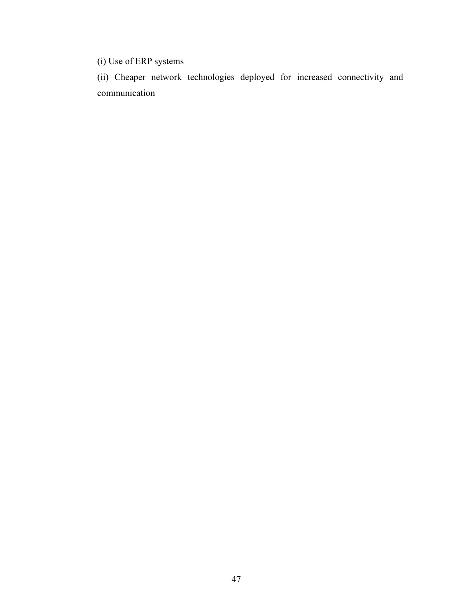(i) Use of ERP systems

(ii) Cheaper network technologies deployed for increased connectivity and communication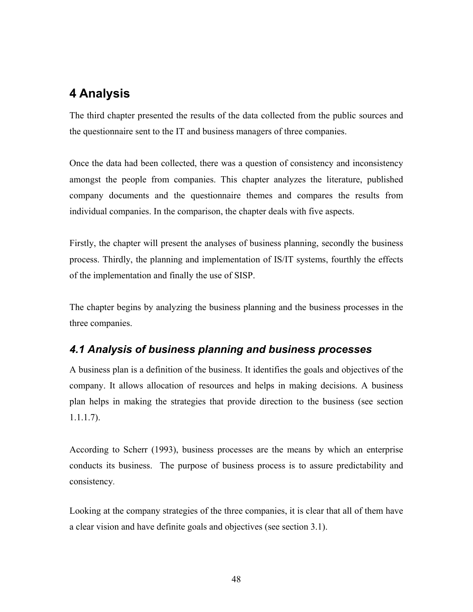# **4 Analysis**

The third chapter presented the results of the data collected from the public sources and the questionnaire sent to the IT and business managers of three companies.

Once the data had been collected, there was a question of consistency and inconsistency amongst the people from companies. This chapter analyzes the literature, published company documents and the questionnaire themes and compares the results from individual companies. In the comparison, the chapter deals with five aspects.

Firstly, the chapter will present the analyses of business planning, secondly the business process. Thirdly, the planning and implementation of IS/IT systems, fourthly the effects of the implementation and finally the use of SISP.

The chapter begins by analyzing the business planning and the business processes in the three companies.

# *4.1 Analysis of business planning and business processes*

A business plan is a definition of the business. It identifies the goals and objectives of the company. It allows allocation of resources and helps in making decisions. A business plan helps in making the strategies that provide direction to the business (see section 1.1.1.7).

According to Scherr (1993), business processes are the means by which an enterprise conducts its business. The purpose of business process is to assure predictability and consistency.

Looking at the company strategies of the three companies, it is clear that all of them have a clear vision and have definite goals and objectives (see section 3.1).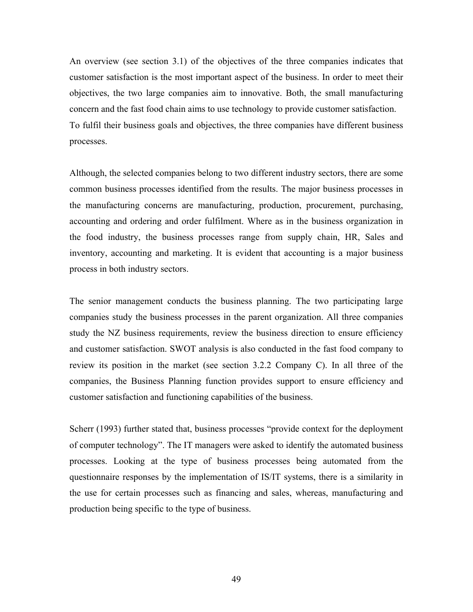An overview (see section 3.1) of the objectives of the three companies indicates that customer satisfaction is the most important aspect of the business. In order to meet their objectives, the two large companies aim to innovative. Both, the small manufacturing concern and the fast food chain aims to use technology to provide customer satisfaction. To fulfil their business goals and objectives, the three companies have different business processes.

Although, the selected companies belong to two different industry sectors, there are some common business processes identified from the results. The major business processes in the manufacturing concerns are manufacturing, production, procurement, purchasing, accounting and ordering and order fulfilment. Where as in the business organization in the food industry, the business processes range from supply chain, HR, Sales and inventory, accounting and marketing. It is evident that accounting is a major business process in both industry sectors.

The senior management conducts the business planning. The two participating large companies study the business processes in the parent organization. All three companies study the NZ business requirements, review the business direction to ensure efficiency and customer satisfaction. SWOT analysis is also conducted in the fast food company to review its position in the market (see section 3.2.2 Company C). In all three of the companies, the Business Planning function provides support to ensure efficiency and customer satisfaction and functioning capabilities of the business.

Scherr (1993) further stated that, business processes "provide context for the deployment of computer technology". The IT managers were asked to identify the automated business processes. Looking at the type of business processes being automated from the questionnaire responses by the implementation of IS/IT systems, there is a similarity in the use for certain processes such as financing and sales, whereas, manufacturing and production being specific to the type of business.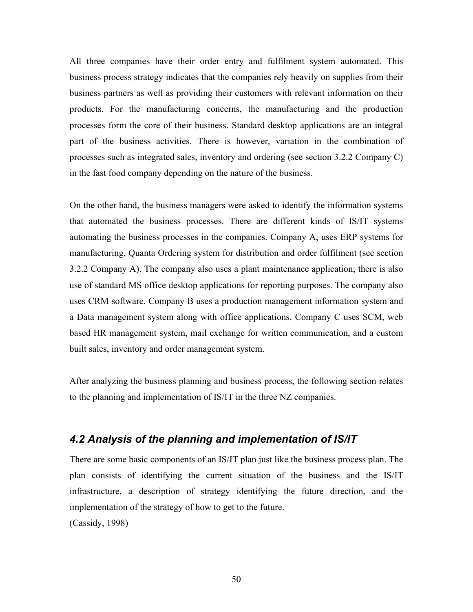All three companies have their order entry and fulfilment system automated. This business process strategy indicates that the companies rely heavily on supplies from their business partners as well as providing their customers with relevant information on their products. For the manufacturing concerns, the manufacturing and the production processes form the core of their business. Standard desktop applications are an integral part of the business activities. There is however, variation in the combination of processes such as integrated sales, inventory and ordering (see section 3.2.2 Company C) in the fast food company depending on the nature of the business.

On the other hand, the business managers were asked to identify the information systems that automated the business processes. There are different kinds of IS/IT systems automating the business processes in the companies. Company A, uses ERP systems for manufacturing, Quanta Ordering system for distribution and order fulfilment (see section 3.2.2 Company A). The company also uses a plant maintenance application; there is also use of standard MS office desktop applications for reporting purposes. The company also uses CRM software. Company B uses a production management information system and a Data management system along with office applications. Company C uses SCM, web based HR management system, mail exchange for written communication, and a custom built sales, inventory and order management system.

After analyzing the business planning and business process, the following section relates to the planning and implementation of IS/IT in the three NZ companies.

# *4.2 Analysis of the planning and implementation of IS/IT*

There are some basic components of an IS/IT plan just like the business process plan. The plan consists of identifying the current situation of the business and the IS/IT infrastructure, a description of strategy identifying the future direction, and the implementation of the strategy of how to get to the future. (Cassidy, 1998)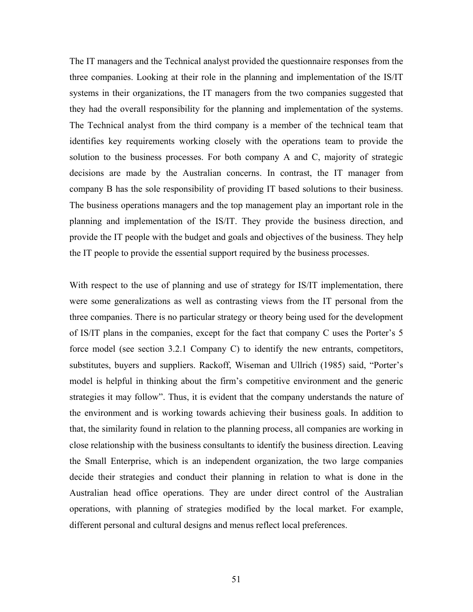The IT managers and the Technical analyst provided the questionnaire responses from the three companies. Looking at their role in the planning and implementation of the IS/IT systems in their organizations, the IT managers from the two companies suggested that they had the overall responsibility for the planning and implementation of the systems. The Technical analyst from the third company is a member of the technical team that identifies key requirements working closely with the operations team to provide the solution to the business processes. For both company A and C, majority of strategic decisions are made by the Australian concerns. In contrast, the IT manager from company B has the sole responsibility of providing IT based solutions to their business. The business operations managers and the top management play an important role in the planning and implementation of the IS/IT. They provide the business direction, and provide the IT people with the budget and goals and objectives of the business. They help the IT people to provide the essential support required by the business processes.

With respect to the use of planning and use of strategy for IS/IT implementation, there were some generalizations as well as contrasting views from the IT personal from the three companies. There is no particular strategy or theory being used for the development of IS/IT plans in the companies, except for the fact that company C uses the Porter's 5 force model (see section 3.2.1 Company C) to identify the new entrants, competitors, substitutes, buyers and suppliers. Rackoff, Wiseman and Ullrich (1985) said, "Porter's model is helpful in thinking about the firm's competitive environment and the generic strategies it may follow". Thus, it is evident that the company understands the nature of the environment and is working towards achieving their business goals. In addition to that, the similarity found in relation to the planning process, all companies are working in close relationship with the business consultants to identify the business direction. Leaving the Small Enterprise, which is an independent organization, the two large companies decide their strategies and conduct their planning in relation to what is done in the Australian head office operations. They are under direct control of the Australian operations, with planning of strategies modified by the local market. For example, different personal and cultural designs and menus reflect local preferences.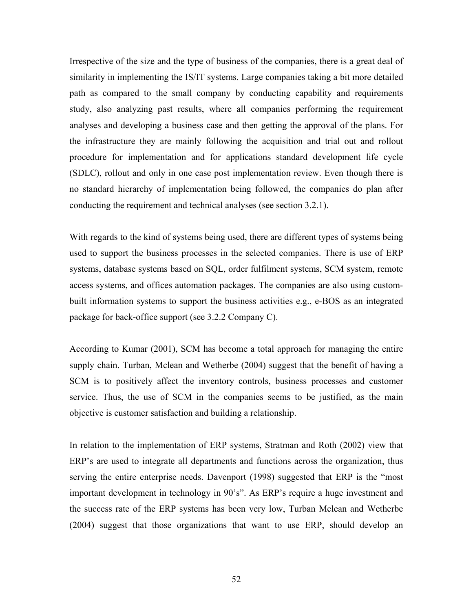Irrespective of the size and the type of business of the companies, there is a great deal of similarity in implementing the IS/IT systems. Large companies taking a bit more detailed path as compared to the small company by conducting capability and requirements study, also analyzing past results, where all companies performing the requirement analyses and developing a business case and then getting the approval of the plans. For the infrastructure they are mainly following the acquisition and trial out and rollout procedure for implementation and for applications standard development life cycle (SDLC), rollout and only in one case post implementation review. Even though there is no standard hierarchy of implementation being followed, the companies do plan after conducting the requirement and technical analyses (see section 3.2.1).

With regards to the kind of systems being used, there are different types of systems being used to support the business processes in the selected companies. There is use of ERP systems, database systems based on SQL, order fulfilment systems, SCM system, remote access systems, and offices automation packages. The companies are also using custombuilt information systems to support the business activities e.g., e-BOS as an integrated package for back-office support (see 3.2.2 Company C).

According to Kumar (2001), SCM has become a total approach for managing the entire supply chain. Turban, Mclean and Wetherbe (2004) suggest that the benefit of having a SCM is to positively affect the inventory controls, business processes and customer service. Thus, the use of SCM in the companies seems to be justified, as the main objective is customer satisfaction and building a relationship.

In relation to the implementation of ERP systems, Stratman and Roth (2002) view that ERP's are used to integrate all departments and functions across the organization, thus serving the entire enterprise needs. Davenport (1998) suggested that ERP is the "most important development in technology in 90's". As ERP's require a huge investment and the success rate of the ERP systems has been very low, Turban Mclean and Wetherbe (2004) suggest that those organizations that want to use ERP, should develop an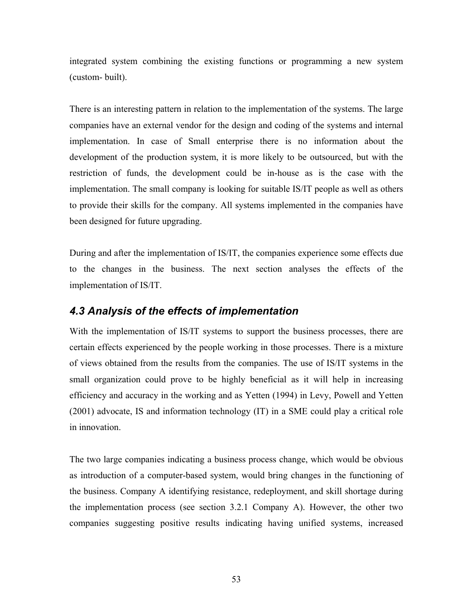integrated system combining the existing functions or programming a new system (custom- built).

There is an interesting pattern in relation to the implementation of the systems. The large companies have an external vendor for the design and coding of the systems and internal implementation. In case of Small enterprise there is no information about the development of the production system, it is more likely to be outsourced, but with the restriction of funds, the development could be in-house as is the case with the implementation. The small company is looking for suitable IS/IT people as well as others to provide their skills for the company. All systems implemented in the companies have been designed for future upgrading.

During and after the implementation of IS/IT, the companies experience some effects due to the changes in the business. The next section analyses the effects of the implementation of IS/IT.

# *4.3 Analysis of the effects of implementation*

With the implementation of IS/IT systems to support the business processes, there are certain effects experienced by the people working in those processes. There is a mixture of views obtained from the results from the companies. The use of IS/IT systems in the small organization could prove to be highly beneficial as it will help in increasing efficiency and accuracy in the working and as Yetten (1994) in Levy, Powell and Yetten (2001) advocate, IS and information technology (IT) in a SME could play a critical role in innovation.

The two large companies indicating a business process change, which would be obvious as introduction of a computer-based system, would bring changes in the functioning of the business. Company A identifying resistance, redeployment, and skill shortage during the implementation process (see section 3.2.1 Company A). However, the other two companies suggesting positive results indicating having unified systems, increased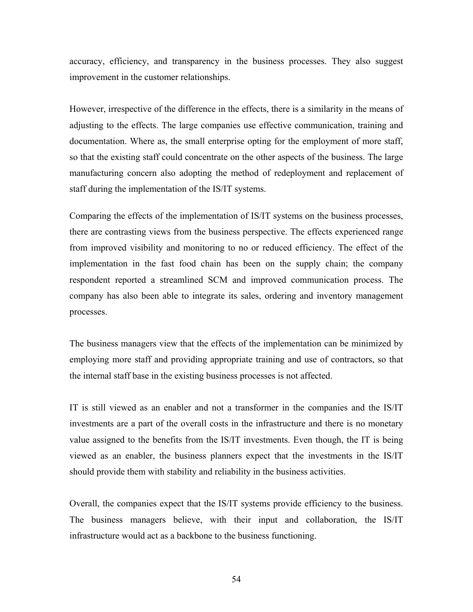accuracy, efficiency, and transparency in the business processes. They also suggest improvement in the customer relationships.

However, irrespective of the difference in the effects, there is a similarity in the means of adjusting to the effects. The large companies use effective communication, training and documentation. Where as, the small enterprise opting for the employment of more staff, so that the existing staff could concentrate on the other aspects of the business. The large manufacturing concern also adopting the method of redeployment and replacement of staff during the implementation of the IS/IT systems.

Comparing the effects of the implementation of IS/IT systems on the business processes, there are contrasting views from the business perspective. The effects experienced range from improved visibility and monitoring to no or reduced efficiency. The effect of the implementation in the fast food chain has been on the supply chain; the company respondent reported a streamlined SCM and improved communication process. The company has also been able to integrate its sales, ordering and inventory management processes.

The business managers view that the effects of the implementation can be minimized by employing more staff and providing appropriate training and use of contractors, so that the internal staff base in the existing business processes is not affected.

IT is still viewed as an enabler and not a transformer in the companies and the IS/IT investments are a part of the overall costs in the infrastructure and there is no monetary value assigned to the benefits from the IS/IT investments. Even though, the IT is being viewed as an enabler, the business planners expect that the investments in the IS/IT should provide them with stability and reliability in the business activities.

Overall, the companies expect that the IS/IT systems provide efficiency to the business. The business managers believe, with their input and collaboration, the IS/IT infrastructure would act as a backbone to the business functioning.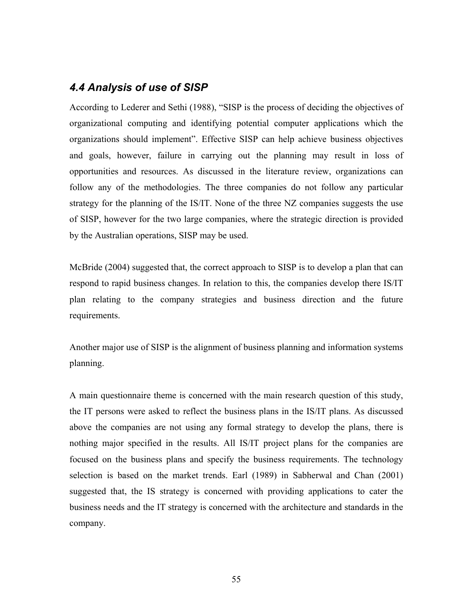# *4.4 Analysis of use of SISP*

According to Lederer and Sethi (1988), "SISP is the process of deciding the objectives of organizational computing and identifying potential computer applications which the organizations should implement". Effective SISP can help achieve business objectives and goals, however, failure in carrying out the planning may result in loss of opportunities and resources. As discussed in the literature review, organizations can follow any of the methodologies. The three companies do not follow any particular strategy for the planning of the IS/IT. None of the three NZ companies suggests the use of SISP, however for the two large companies, where the strategic direction is provided by the Australian operations, SISP may be used.

McBride (2004) suggested that, the correct approach to SISP is to develop a plan that can respond to rapid business changes. In relation to this, the companies develop there IS/IT plan relating to the company strategies and business direction and the future requirements.

Another major use of SISP is the alignment of business planning and information systems planning.

A main questionnaire theme is concerned with the main research question of this study, the IT persons were asked to reflect the business plans in the IS/IT plans. As discussed above the companies are not using any formal strategy to develop the plans, there is nothing major specified in the results. All IS/IT project plans for the companies are focused on the business plans and specify the business requirements. The technology selection is based on the market trends. Earl (1989) in Sabherwal and Chan (2001) suggested that, the IS strategy is concerned with providing applications to cater the business needs and the IT strategy is concerned with the architecture and standards in the company.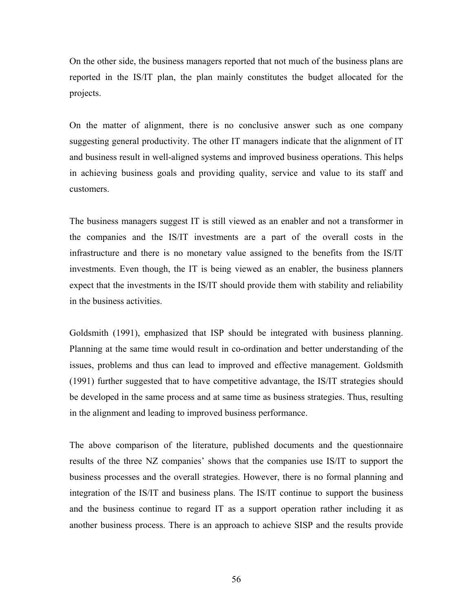On the other side, the business managers reported that not much of the business plans are reported in the IS/IT plan, the plan mainly constitutes the budget allocated for the projects.

On the matter of alignment, there is no conclusive answer such as one company suggesting general productivity. The other IT managers indicate that the alignment of IT and business result in well-aligned systems and improved business operations. This helps in achieving business goals and providing quality, service and value to its staff and customers.

The business managers suggest IT is still viewed as an enabler and not a transformer in the companies and the IS/IT investments are a part of the overall costs in the infrastructure and there is no monetary value assigned to the benefits from the IS/IT investments. Even though, the IT is being viewed as an enabler, the business planners expect that the investments in the IS/IT should provide them with stability and reliability in the business activities.

Goldsmith (1991), emphasized that ISP should be integrated with business planning. Planning at the same time would result in co-ordination and better understanding of the issues, problems and thus can lead to improved and effective management. Goldsmith (1991) further suggested that to have competitive advantage, the IS/IT strategies should be developed in the same process and at same time as business strategies. Thus, resulting in the alignment and leading to improved business performance.

The above comparison of the literature, published documents and the questionnaire results of the three NZ companies' shows that the companies use IS/IT to support the business processes and the overall strategies. However, there is no formal planning and integration of the IS/IT and business plans. The IS/IT continue to support the business and the business continue to regard IT as a support operation rather including it as another business process. There is an approach to achieve SISP and the results provide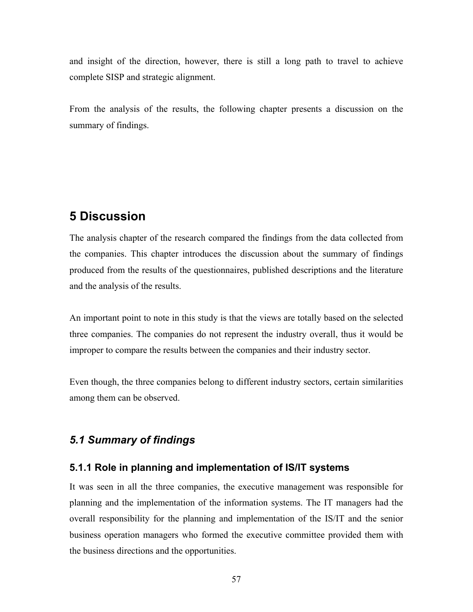and insight of the direction, however, there is still a long path to travel to achieve complete SISP and strategic alignment.

From the analysis of the results, the following chapter presents a discussion on the summary of findings.

# **5 Discussion**

The analysis chapter of the research compared the findings from the data collected from the companies. This chapter introduces the discussion about the summary of findings produced from the results of the questionnaires, published descriptions and the literature and the analysis of the results.

An important point to note in this study is that the views are totally based on the selected three companies. The companies do not represent the industry overall, thus it would be improper to compare the results between the companies and their industry sector.

Even though, the three companies belong to different industry sectors, certain similarities among them can be observed.

# *5.1 Summary of findings*

### **5.1.1 Role in planning and implementation of IS/IT systems**

It was seen in all the three companies, the executive management was responsible for planning and the implementation of the information systems. The IT managers had the overall responsibility for the planning and implementation of the IS/IT and the senior business operation managers who formed the executive committee provided them with the business directions and the opportunities.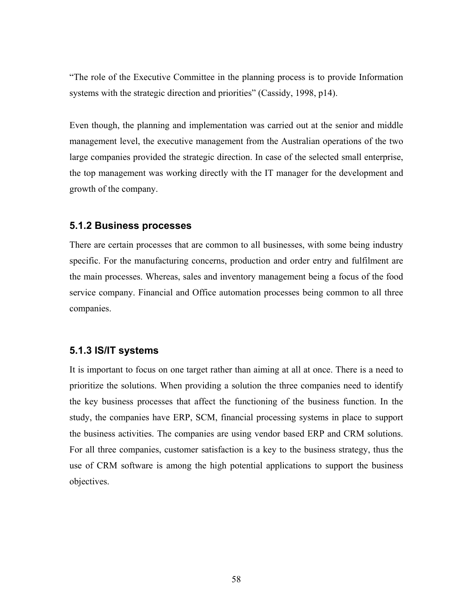"The role of the Executive Committee in the planning process is to provide Information systems with the strategic direction and priorities" (Cassidy, 1998, p14).

Even though, the planning and implementation was carried out at the senior and middle management level, the executive management from the Australian operations of the two large companies provided the strategic direction. In case of the selected small enterprise, the top management was working directly with the IT manager for the development and growth of the company.

### **5.1.2 Business processes**

There are certain processes that are common to all businesses, with some being industry specific. For the manufacturing concerns, production and order entry and fulfilment are the main processes. Whereas, sales and inventory management being a focus of the food service company. Financial and Office automation processes being common to all three companies.

# **5.1.3 IS/IT systems**

It is important to focus on one target rather than aiming at all at once. There is a need to prioritize the solutions. When providing a solution the three companies need to identify the key business processes that affect the functioning of the business function. In the study, the companies have ERP, SCM, financial processing systems in place to support the business activities. The companies are using vendor based ERP and CRM solutions. For all three companies, customer satisfaction is a key to the business strategy, thus the use of CRM software is among the high potential applications to support the business objectives.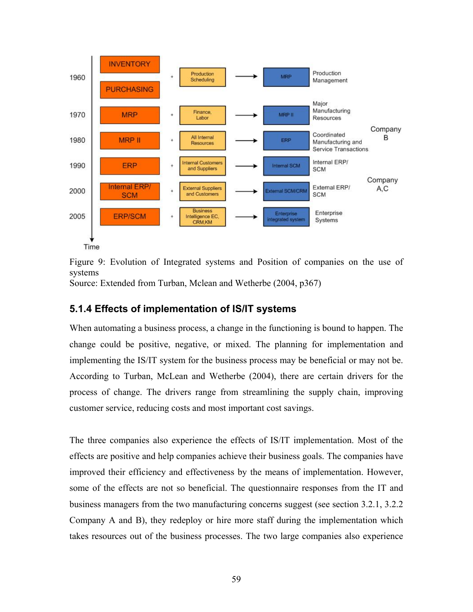

Figure 9: Evolution of Integrated systems and Position of companies on the use of systems

Source: Extended from Turban, Mclean and Wetherbe (2004, p367)

# **5.1.4 Effects of implementation of IS/IT systems**

When automating a business process, a change in the functioning is bound to happen. The change could be positive, negative, or mixed. The planning for implementation and implementing the IS/IT system for the business process may be beneficial or may not be. According to Turban, McLean and Wetherbe (2004), there are certain drivers for the process of change. The drivers range from streamlining the supply chain, improving customer service, reducing costs and most important cost savings.

The three companies also experience the effects of IS/IT implementation. Most of the effects are positive and help companies achieve their business goals. The companies have improved their efficiency and effectiveness by the means of implementation. However, some of the effects are not so beneficial. The questionnaire responses from the IT and business managers from the two manufacturing concerns suggest (see section 3.2.1, 3.2.2 Company A and B), they redeploy or hire more staff during the implementation which takes resources out of the business processes. The two large companies also experience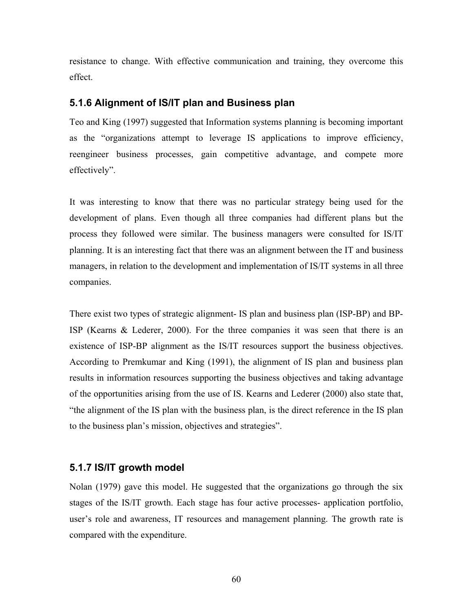resistance to change. With effective communication and training, they overcome this effect.

### **5.1.6 Alignment of IS/IT plan and Business plan**

Teo and King (1997) suggested that Information systems planning is becoming important as the "organizations attempt to leverage IS applications to improve efficiency, reengineer business processes, gain competitive advantage, and compete more effectively".

It was interesting to know that there was no particular strategy being used for the development of plans. Even though all three companies had different plans but the process they followed were similar. The business managers were consulted for IS/IT planning. It is an interesting fact that there was an alignment between the IT and business managers, in relation to the development and implementation of IS/IT systems in all three companies.

There exist two types of strategic alignment- IS plan and business plan (ISP-BP) and BP-ISP (Kearns & Lederer, 2000). For the three companies it was seen that there is an existence of ISP-BP alignment as the IS/IT resources support the business objectives. According to Premkumar and King (1991), the alignment of IS plan and business plan results in information resources supporting the business objectives and taking advantage of the opportunities arising from the use of IS. Kearns and Lederer (2000) also state that, "the alignment of the IS plan with the business plan, is the direct reference in the IS plan to the business plan's mission, objectives and strategies".

# **5.1.7 IS/IT growth model**

Nolan (1979) gave this model. He suggested that the organizations go through the six stages of the IS/IT growth. Each stage has four active processes- application portfolio, user's role and awareness, IT resources and management planning. The growth rate is compared with the expenditure.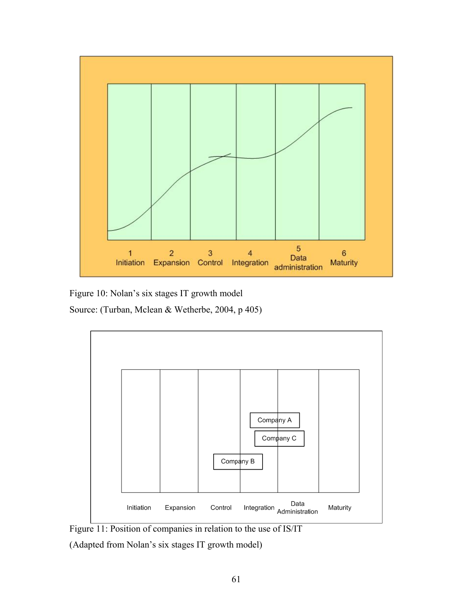

Figure 10: Nolan's six stages IT growth model

Source: (Turban, Mclean & Wetherbe, 2004, p 405)



Figure 11: Position of companies in relation to the use of IS/IT

(Adapted from Nolan's six stages IT growth model)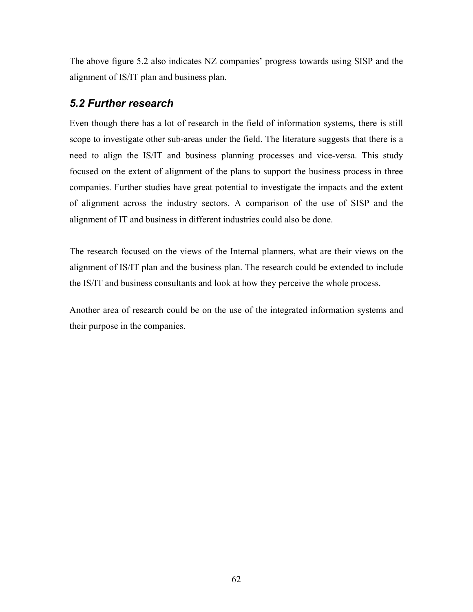The above figure 5.2 also indicates NZ companies' progress towards using SISP and the alignment of IS/IT plan and business plan.

# *5.2 Further research*

Even though there has a lot of research in the field of information systems, there is still scope to investigate other sub-areas under the field. The literature suggests that there is a need to align the IS/IT and business planning processes and vice-versa. This study focused on the extent of alignment of the plans to support the business process in three companies. Further studies have great potential to investigate the impacts and the extent of alignment across the industry sectors. A comparison of the use of SISP and the alignment of IT and business in different industries could also be done.

The research focused on the views of the Internal planners, what are their views on the alignment of IS/IT plan and the business plan. The research could be extended to include the IS/IT and business consultants and look at how they perceive the whole process.

Another area of research could be on the use of the integrated information systems and their purpose in the companies.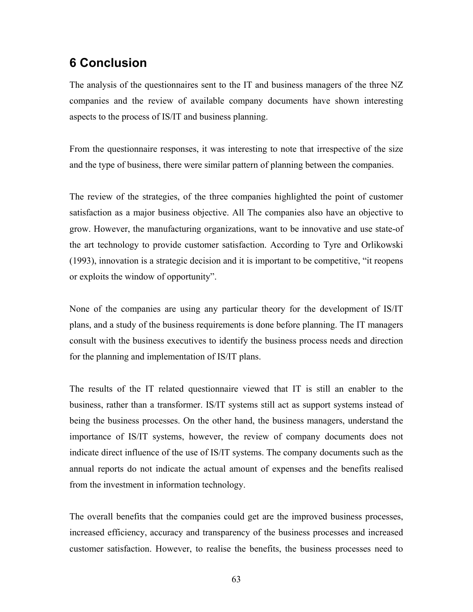# **6 Conclusion**

The analysis of the questionnaires sent to the IT and business managers of the three NZ companies and the review of available company documents have shown interesting aspects to the process of IS/IT and business planning.

From the questionnaire responses, it was interesting to note that irrespective of the size and the type of business, there were similar pattern of planning between the companies.

The review of the strategies, of the three companies highlighted the point of customer satisfaction as a major business objective. All The companies also have an objective to grow. However, the manufacturing organizations, want to be innovative and use state-of the art technology to provide customer satisfaction. According to Tyre and Orlikowski (1993), innovation is a strategic decision and it is important to be competitive, "it reopens or exploits the window of opportunity".

None of the companies are using any particular theory for the development of IS/IT plans, and a study of the business requirements is done before planning. The IT managers consult with the business executives to identify the business process needs and direction for the planning and implementation of IS/IT plans.

The results of the IT related questionnaire viewed that IT is still an enabler to the business, rather than a transformer. IS/IT systems still act as support systems instead of being the business processes. On the other hand, the business managers, understand the importance of IS/IT systems, however, the review of company documents does not indicate direct influence of the use of IS/IT systems. The company documents such as the annual reports do not indicate the actual amount of expenses and the benefits realised from the investment in information technology.

The overall benefits that the companies could get are the improved business processes, increased efficiency, accuracy and transparency of the business processes and increased customer satisfaction. However, to realise the benefits, the business processes need to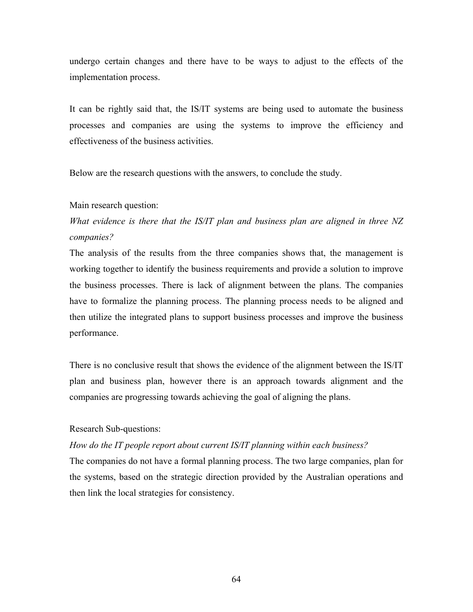undergo certain changes and there have to be ways to adjust to the effects of the implementation process.

It can be rightly said that, the IS/IT systems are being used to automate the business processes and companies are using the systems to improve the efficiency and effectiveness of the business activities.

Below are the research questions with the answers, to conclude the study.

#### Main research question:

*What evidence is there that the IS/IT plan and business plan are aligned in three NZ companies?* 

The analysis of the results from the three companies shows that, the management is working together to identify the business requirements and provide a solution to improve the business processes. There is lack of alignment between the plans. The companies have to formalize the planning process. The planning process needs to be aligned and then utilize the integrated plans to support business processes and improve the business performance.

There is no conclusive result that shows the evidence of the alignment between the IS/IT plan and business plan, however there is an approach towards alignment and the companies are progressing towards achieving the goal of aligning the plans.

#### Research Sub-questions:

#### *How do the IT people report about current IS/IT planning within each business?*

The companies do not have a formal planning process. The two large companies, plan for the systems, based on the strategic direction provided by the Australian operations and then link the local strategies for consistency.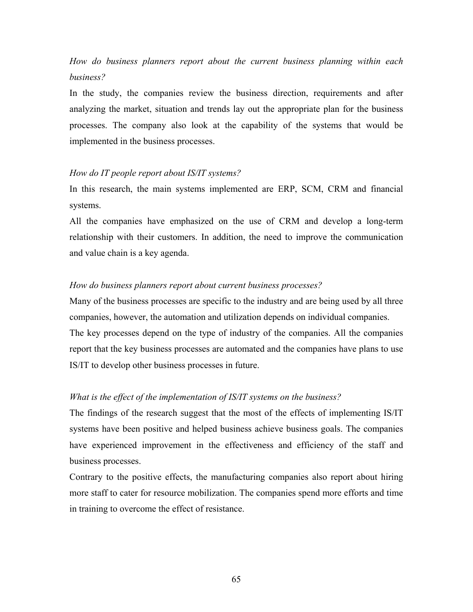# *How do business planners report about the current business planning within each business?*

In the study, the companies review the business direction, requirements and after analyzing the market, situation and trends lay out the appropriate plan for the business processes. The company also look at the capability of the systems that would be implemented in the business processes.

### *How do IT people report about IS/IT systems?*

In this research, the main systems implemented are ERP, SCM, CRM and financial systems.

All the companies have emphasized on the use of CRM and develop a long-term relationship with their customers. In addition, the need to improve the communication and value chain is a key agenda.

### *How do business planners report about current business processes?*

Many of the business processes are specific to the industry and are being used by all three companies, however, the automation and utilization depends on individual companies. The key processes depend on the type of industry of the companies. All the companies report that the key business processes are automated and the companies have plans to use IS/IT to develop other business processes in future.

# *What is the effect of the implementation of IS/IT systems on the business?*

The findings of the research suggest that the most of the effects of implementing IS/IT systems have been positive and helped business achieve business goals. The companies have experienced improvement in the effectiveness and efficiency of the staff and business processes.

Contrary to the positive effects, the manufacturing companies also report about hiring more staff to cater for resource mobilization. The companies spend more efforts and time in training to overcome the effect of resistance.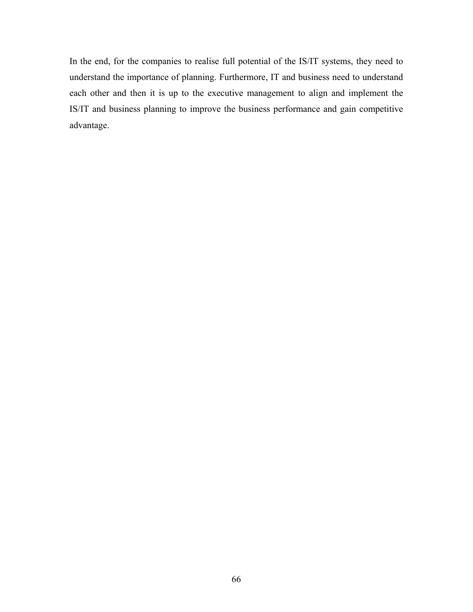In the end, for the companies to realise full potential of the IS/IT systems, they need to understand the importance of planning. Furthermore, IT and business need to understand each other and then it is up to the executive management to align and implement the IS/IT and business planning to improve the business performance and gain competitive advantage.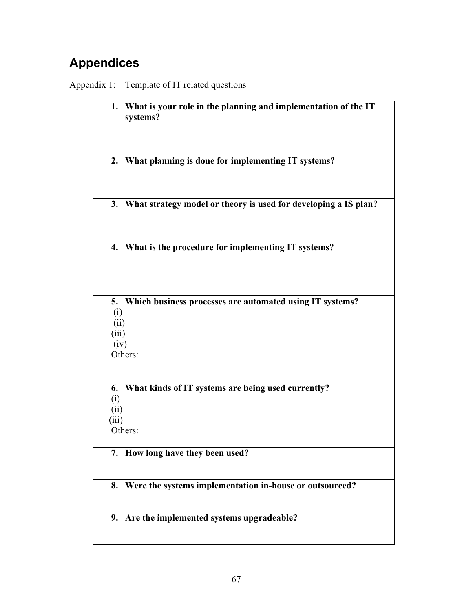# **Appendices**

Appendix 1: Template of IT related questions

| What is your role in the planning and implementation of the IT<br>1.<br>systems?                          |
|-----------------------------------------------------------------------------------------------------------|
| 2. What planning is done for implementing IT systems?                                                     |
| 3. What strategy model or theory is used for developing a IS plan?                                        |
| 4. What is the procedure for implementing IT systems?                                                     |
| Which business processes are automated using IT systems?<br>5.<br>(i)<br>(ii)<br>(iii)<br>(iv)<br>Others: |
| What kinds of IT systems are being used currently?<br>6.<br>(i)<br>(ii)<br>(iii)<br>Others:               |
| 7. How long have they been used?                                                                          |
| 8. Were the systems implementation in-house or outsourced?                                                |
| 9. Are the implemented systems upgradeable?                                                               |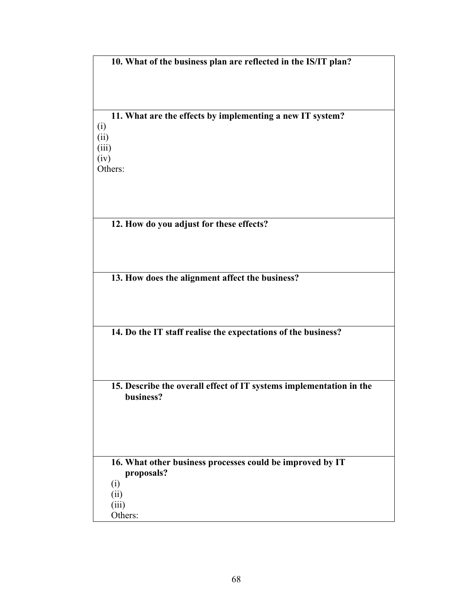**10. What of the business plan are reflected in the IS/IT plan?** 

**11. What are the effects by implementing a new IT system?**  (i) (ii) (iii)  $(iv)$ Others:

**12. How do you adjust for these effects?** 

**13. How does the alignment affect the business?** 

**14. Do the IT staff realise the expectations of the business?** 

**15. Describe the overall effect of IT systems implementation in the business?** 

**16. What other business processes could be improved by IT proposals?**  (i) (ii) (iii)

Others: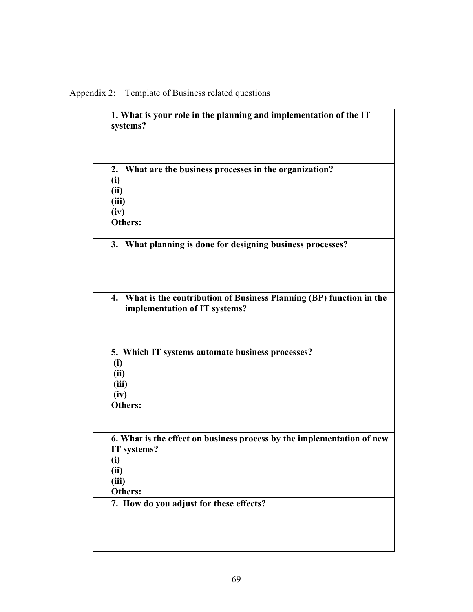Appendix 2: Template of Business related questions

| 1. What is your role in the planning and implementation of the IT<br>systems?                                            |
|--------------------------------------------------------------------------------------------------------------------------|
| 2. What are the business processes in the organization?<br>(i)<br>(ii)<br>(iii)<br>(iv)<br>Others:                       |
| 3. What planning is done for designing business processes?                                                               |
| 4. What is the contribution of Business Planning (BP) function in the<br>implementation of IT systems?                   |
| 5. Which IT systems automate business processes?<br>(i)<br>(ii)<br>(iii)<br>(iv)<br>Others:                              |
| 6. What is the effect on business process by the implementation of new<br>IT systems?<br>(i)<br>(ii)<br>(iii)<br>Others: |
| 7. How do you adjust for these effects?                                                                                  |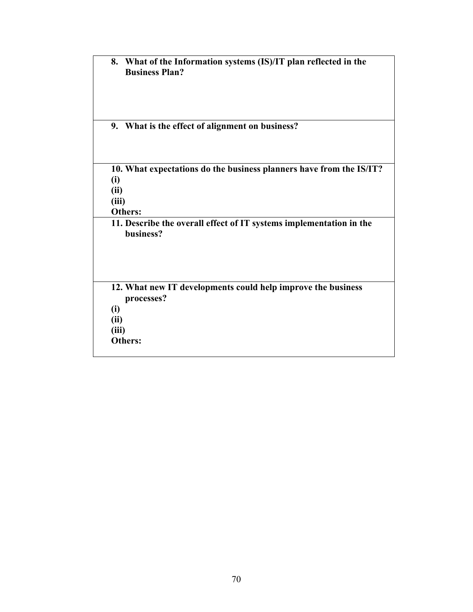| 8.          | What of the Information systems (IS)/IT plan reflected in the<br><b>Business Plan?</b> |
|-------------|----------------------------------------------------------------------------------------|
|             | 9. What is the effect of alignment on business?                                        |
|             | 10. What expectations do the business planners have from the IS/IT?                    |
| (i)<br>(ii) |                                                                                        |
| (iii)       |                                                                                        |
|             | <b>Others:</b>                                                                         |
|             | 11. Describe the overall effect of IT systems implementation in the<br>business?       |
|             |                                                                                        |
|             | 12. What new IT developments could help improve the business                           |
|             | processes?                                                                             |
| (i)         |                                                                                        |
| (ii)        |                                                                                        |
| (iii)       |                                                                                        |
|             | <b>Others:</b>                                                                         |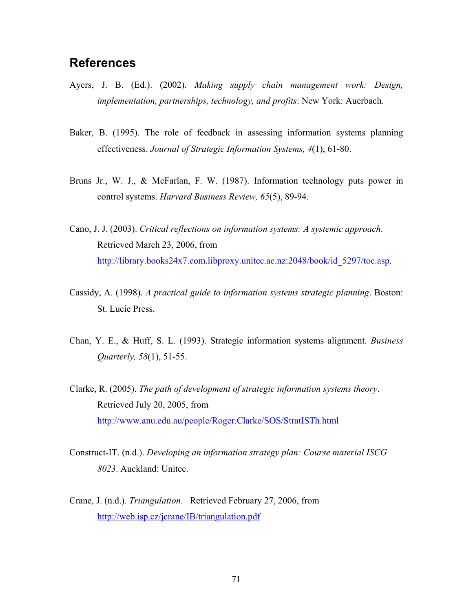## **References**

- Ayers, J. B. (Ed.). (2002). *Making supply chain management work: Design, implementation, partnerships, technology, and profits*: New York: Auerbach.
- Baker, B. (1995). The role of feedback in assessing information systems planning effectiveness. *Journal of Strategic Information Systems, 4*(1), 61-80.
- Bruns Jr., W. J., & McFarlan, F. W. (1987). Information technology puts power in control systems. *Harvard Business Review, 65*(5), 89-94.
- Cano, J. J. (2003). *Critical reflections on information systems: A systemic approach*. Retrieved March 23, 2006, from [http://library.books24x7.com.libproxy.unitec.ac.nz:2048/book/id\\_5297/toc.asp](http://library.books24x7.com.libproxy.unitec.ac.nz:2048/book/id_5297/toc.asp).
- Cassidy, A. (1998). *A practical guide to information systems strategic planning*. Boston: St. Lucie Press.
- Chan, Y. E., & Huff, S. L. (1993). Strategic information systems alignment. *Business Quarterly, 58*(1), 51-55.
- Clarke, R. (2005). *The path of development of strategic information systems theory*. Retrieved July 20, 2005, from <http://www.anu.edu.au/people/Roger.Clarke/SOS/StratISTh.html>
- Construct-IT. (n.d.). *Developing an information strategy plan: Course material ISCG 8023*. Auckland: Unitec.
- Crane, J. (n.d.). *Triangulation*. Retrieved February 27, 2006, from <http://web.isp.cz/jcrane/IB/triangulation.pdf>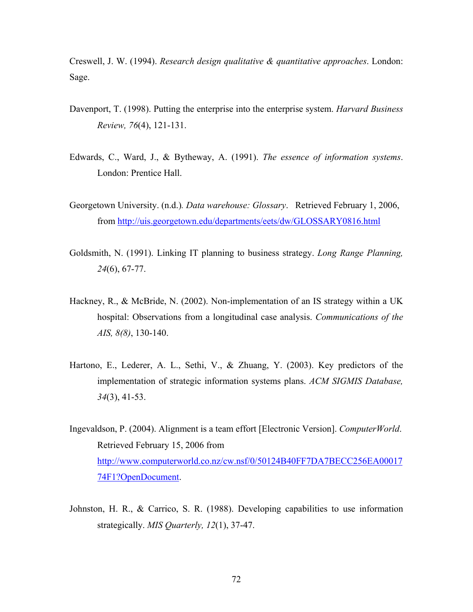Creswell, J. W. (1994). *Research design qualitative & quantitative approaches*. London: Sage.

- Davenport, T. (1998). Putting the enterprise into the enterprise system. *Harvard Business Review, 76*(4), 121-131.
- Edwards, C., Ward, J., & Bytheway, A. (1991). *The essence of information systems*. London: Prentice Hall.
- Georgetown University. (n.d.)*. Data warehouse: Glossary*. Retrieved February 1, 2006, from<http://uis.georgetown.edu/departments/eets/dw/GLOSSARY0816.html>
- Goldsmith, N. (1991). Linking IT planning to business strategy. *Long Range Planning, 24*(6), 67-77.
- Hackney, R., & McBride, N. (2002). Non-implementation of an IS strategy within a UK hospital: Observations from a longitudinal case analysis. *Communications of the AIS, 8(8)*, 130-140.
- Hartono, E., Lederer, A. L., Sethi, V., & Zhuang, Y. (2003). Key predictors of the implementation of strategic information systems plans. *ACM SIGMIS Database, 34*(3), 41-53.
- Ingevaldson, P. (2004). Alignment is a team effort [Electronic Version]. *ComputerWorld*. Retrieved February 15, 2006 from [http://www.computerworld.co.nz/cw.nsf/0/50124B40FF7DA7BECC256EA00017](http://www.computerworld.co.nz/cw.nsf/0/50124B40FF7DA7BECC256EA0001774F1?OpenDocument) [74F1?OpenDocument.](http://www.computerworld.co.nz/cw.nsf/0/50124B40FF7DA7BECC256EA0001774F1?OpenDocument)
- Johnston, H. R., & Carrico, S. R. (1988). Developing capabilities to use information strategically. *MIS Quarterly, 12*(1), 37-47.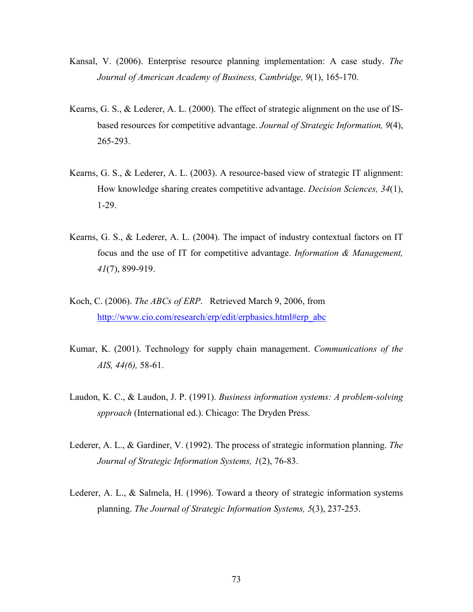- Kansal, V. (2006). Enterprise resource planning implementation: A case study. *The Journal of American Academy of Business, Cambridge, 9*(1), 165-170.
- Kearns, G. S., & Lederer, A. L. (2000). The effect of strategic alignment on the use of ISbased resources for competitive advantage. *Journal of Strategic Information, 9*(4), 265-293.
- Kearns, G. S., & Lederer, A. L. (2003). A resource-based view of strategic IT alignment: How knowledge sharing creates competitive advantage. *Decision Sciences, 34*(1), 1-29.
- Kearns, G. S., & Lederer, A. L. (2004). The impact of industry contextual factors on IT focus and the use of IT for competitive advantage. *Information & Management, 41*(7), 899-919.
- Koch, C. (2006). *The ABCs of ERP*. Retrieved March 9, 2006, from [http://www.cio.com/research/erp/edit/erpbasics.html#erp\\_abc](http://www.cio.com/research/erp/edit/erpbasics.html#erp_abc)
- Kumar, K. (2001). Technology for supply chain management. *Communications of the AIS, 44(6),* 58-61.
- Laudon, K. C., & Laudon, J. P. (1991). *Business information systems: A problem-solving spproach* (International ed.). Chicago: The Dryden Press.
- Lederer, A. L., & Gardiner, V. (1992). The process of strategic information planning. *The Journal of Strategic Information Systems, 1*(2), 76-83.
- Lederer, A. L., & Salmela, H. (1996). Toward a theory of strategic information systems planning. *The Journal of Strategic Information Systems, 5*(3), 237-253.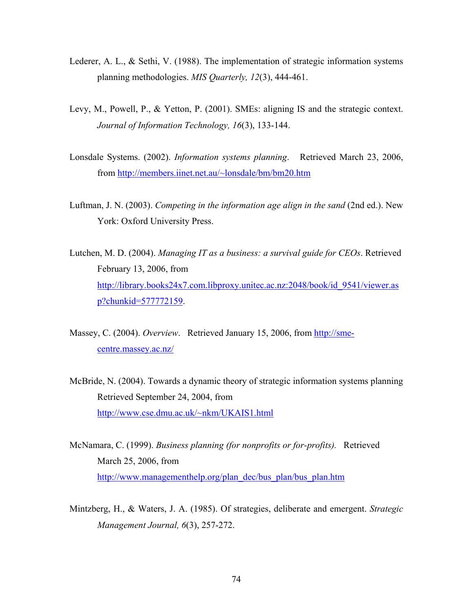- Lederer, A. L., & Sethi, V. (1988). The implementation of strategic information systems planning methodologies. *MIS Quarterly, 12*(3), 444-461.
- Levy, M., Powell, P., & Yetton, P. (2001). SMEs: aligning IS and the strategic context. *Journal of Information Technology, 16*(3), 133-144.
- Lonsdale Systems. (2002). *Information systems planning*. Retrieved March 23, 2006, from [http://members.iinet.net.au/~lonsdale/bm/bm20.htm](http://members.iinet.net.au/%7Elonsdale/bm/bm20.htm)
- Luftman, J. N. (2003). *Competing in the information age align in the sand* (2nd ed.). New York: Oxford University Press.
- Lutchen, M. D. (2004). *Managing IT as a business: a survival guide for CEOs*. Retrieved February 13, 2006, from [http://library.books24x7.com.libproxy.unitec.ac.nz:2048/book/id\\_9541/viewer.as](http://library.books24x7.com.libproxy.unitec.ac.nz:2048/book/id_9541/viewer.asp?chunkid=577772159) [p?chunkid=577772159.](http://library.books24x7.com.libproxy.unitec.ac.nz:2048/book/id_9541/viewer.asp?chunkid=577772159)
- Massey, C. (2004). *Overview*. Retrieved January 15, 2006, from [http://sme](http://sme-centre.massey.ac.nz/)[centre.massey.ac.nz/](http://sme-centre.massey.ac.nz/)
- McBride, N. (2004). Towards a dynamic theory of strategic information systems planning Retrieved September 24, 2004, from [http://www.cse.dmu.ac.uk/~nkm/UKAIS1.html](http://www.cse.dmu.ac.uk/%7Enkm/UKAIS1.html)
- McNamara, C. (1999). *Business planning (for nonprofits or for-profits).* Retrieved March 25, 2006, from [http://www.managementhelp.org/plan\\_dec/bus\\_plan/bus\\_plan.htm](http://www.managementhelp.org/plan_dec/bus_plan/bus_plan.htm)
- Mintzberg, H., & Waters, J. A. (1985). Of strategies, deliberate and emergent. *Strategic Management Journal, 6*(3), 257-272.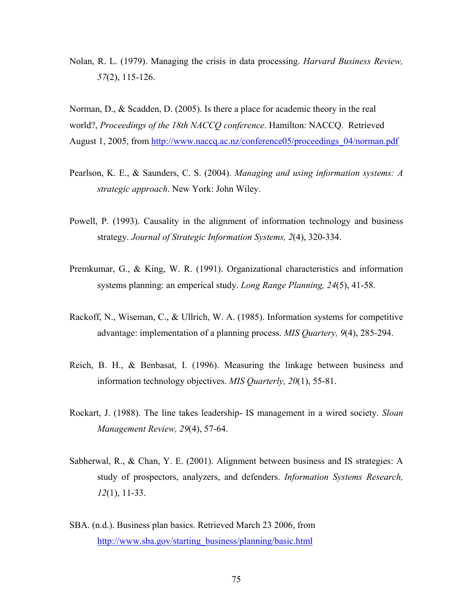Nolan, R. L. (1979). Managing the crisis in data processing. *Harvard Business Review, 57*(2), 115-126.

Norman, D., & Scadden, D. (2005). Is there a place for academic theory in the real world?, *Proceedings of the 18th NACCQ conference*. Hamilton: NACCQ. Retrieved August 1, 2005, from [http://www.naccq.ac.nz/conference05/proceedings\\_04/norman.pdf](http://www.naccq.ac.nz/conference05/proceedings_04/norman.pdf)

- Pearlson, K. E., & Saunders, C. S. (2004). *Managing and using information systems: A strategic approach*. New York: John Wiley.
- Powell, P. (1993). Causality in the alignment of information technology and business strategy. *Journal of Strategic Information Systems, 2*(4), 320-334.
- Premkumar, G., & King, W. R. (1991). Organizational characteristics and information systems planning: an emperical study. *Long Range Planning, 24*(5), 41-58.
- Rackoff, N., Wiseman, C., & Ullrich, W. A. (1985). Information systems for competitive advantage: implementation of a planning process. *MIS Quartery, 9*(4), 285-294.
- Reich, B. H., & Benbasat, I. (1996). Measuring the linkage between business and information technology objectives. *MIS Quarterly, 20*(1), 55-81.
- Rockart, J. (1988). The line takes leadership- IS management in a wired society. *Sloan Management Review, 29*(4), 57-64.
- Sabherwal, R., & Chan, Y. E. (2001). Alignment between business and IS strategies: A study of prospectors, analyzers, and defenders. *Information Systems Research, 12*(1), 11-33.
- SBA. (n.d.). Business plan basics. Retrieved March 23 2006, from [http://www.sba.gov/starting\\_business/planning/basic.html](http://www.sba.gov/starting_business/planning/basic.html)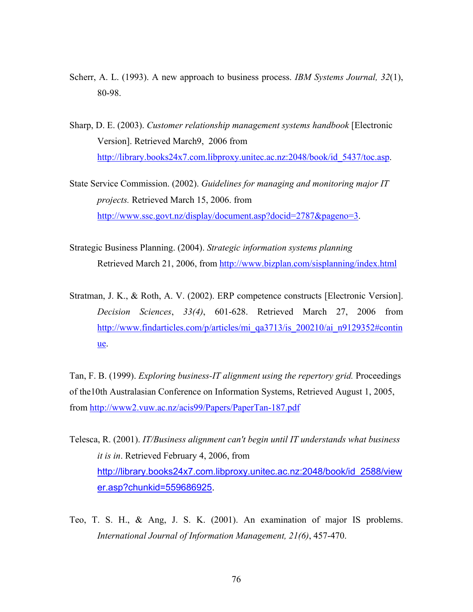- Scherr, A. L. (1993). A new approach to business process. *IBM Systems Journal, 32*(1), 80-98.
- Sharp, D. E. (2003). *Customer relationship management systems handbook* [Electronic Version]. Retrieved March9, 2006 from [http://library.books24x7.com.libproxy.unitec.ac.nz:2048/book/id\\_5437/toc.asp](http://library.books24x7.com.libproxy.unitec.ac.nz:2048/book/id_5437/toc.asp).
- State Service Commission. (2002). *Guidelines for managing and monitoring major IT projects.* Retrieved March 15, 2006. from <http://www.ssc.govt.nz/display/document.asp?docid=2787&pageno=3>.
- Strategic Business Planning. (2004). *Strategic information systems planning* Retrieved March 21, 2006, from<http://www.bizplan.com/sisplanning/index.html>
- Stratman, J. K., & Roth, A. V. (2002). ERP competence constructs [Electronic Version]. *Decision Sciences*, *33(4)*, 601-628. Retrieved March 27, 2006 from [http://www.findarticles.com/p/articles/mi\\_qa3713/is\\_200210/ai\\_n9129352#contin](http://www.findarticles.com/p/articles/mi_qa3713/is_200210/ai_n9129352#continue) [ue](http://www.findarticles.com/p/articles/mi_qa3713/is_200210/ai_n9129352#continue).

Tan, F. B. (1999). *Exploring business-IT alignment using the repertory grid.* Proceedings of the10th Australasian Conference on Information Systems, Retrieved August 1, 2005, from<http://www2.vuw.ac.nz/acis99/Papers/PaperTan-187.pdf>

- Telesca, R. (2001). *IT/Business alignment can't begin until IT understands what business it is in*. Retrieved February 4, 2006, from [http://library.books24x7.com.libproxy.unitec.ac.nz:2048/book/id\\_2588/view](http://library.books24x7.com.libproxy.unitec.ac.nz:2048/book/id_2588/viewer.asp?chunkid=559686925) [er.asp?chunkid=559686925](http://library.books24x7.com.libproxy.unitec.ac.nz:2048/book/id_2588/viewer.asp?chunkid=559686925).
- Teo, T. S. H., & Ang, J. S. K. (2001). An examination of major IS problems. *International Journal of Information Management, 21(6)*, 457-470.